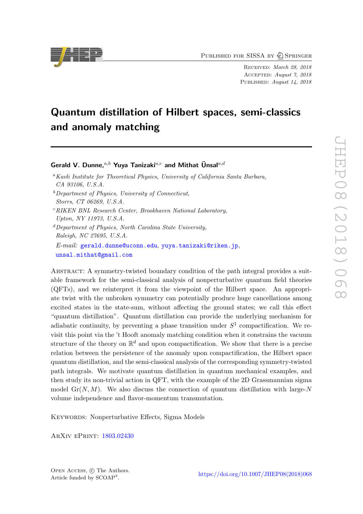PUBLISHED FOR SISSA BY 2 SPRINGER

Received: March 28, 2018 Accepted: August 7, 2018 PUBLISHED: August 14, 2018

# Quantum distillation of Hilbert spaces, semi-classics and anomaly matching

# Gerald V. Dunne,  $a,b$  Yuya Tanizaki $a,c$  and Mithat Unsal $a,d$

- $b$ Department of Physics, University of Connecticut, Storrs, CT 06269, U.S.A.
- $c$ RIKEN BNL Research Center, Brookhaven National Laboratory, Upton, NY 11973, U.S.A.
- ${}^d$ Department of Physics, North Carolina State University. Raleigh, NC 27695, U.S.A. E-mail: [gerald.dunne@uconn.edu](mailto:gerald.dunne@uconn.edu), [yuya.tanizaki@riken.jp](mailto:yuya.tanizaki@riken.jp),

[unsal.mithat@gmail.com](mailto:unsal.mithat@gmail.com) Abstract: A symmetry-twisted boundary condition of the path integral provides a suitable framework for the semi-classical analysis of nonperturbative quantum field theories

(QFTs), and we reinterpret it from the viewpoint of the Hilbert space. An appropriate twist with the unbroken symmetry can potentially produce huge cancellations among excited states in the state-sum, without affecting the ground states; we call this effect "quantum distillation". Quantum distillation can provide the underlying mechanism for adiabatic continuity, by preventing a phase transition under  $S<sup>1</sup>$  compactification. We revisit this point via the 't Hooft anomaly matching condition when it constrains the vacuum structure of the theory on  $\mathbb{R}^d$  and upon compactification. We show that there is a precise relation between the persistence of the anomaly upon compactification, the Hilbert space quantum distillation, and the semi-classical analysis of the corresponding symmetry-twisted path integrals. We motivate quantum distillation in quantum mechanical examples, and then study its non-trivial action in QFT, with the example of the 2D Grassmannian sigma model  $Gr(N, M)$ . We also discuss the connection of quantum distillation with large-N volume independence and flavor-momentum transmutation.

KEYWORDS: Nonperturbative Effects, Sigma Models

ArXiv ePrint: [1803.02430](https://arxiv.org/abs/1803.02430)



<sup>&</sup>lt;sup>a</sup>Kavli Institute for Theoretical Physics, University of California Santa Barbara, CA 93106, U.S.A.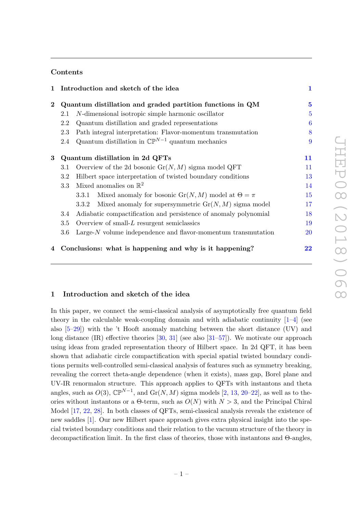# Contents

|          |                                                           | 1 Introduction and sketch of the idea                                        | $\mathbf{1}$   |
|----------|-----------------------------------------------------------|------------------------------------------------------------------------------|----------------|
| $\bf{2}$ | Quantum distillation and graded partition functions in QM |                                                                              | $\overline{5}$ |
|          | 2.1                                                       | <i>N</i> -dimensional isotropic simple harmonic oscillator                   | $\overline{5}$ |
|          | 2.2                                                       | Quantum distillation and graded representations                              | $\overline{6}$ |
|          | 2.3                                                       | Path integral interpretation: Flavor-momentum transmutation                  | 8              |
|          | 2.4                                                       | Quantum distillation in $\mathbb{CP}^{N-1}$ quantum mechanics                | 9              |
| 3        | Quantum distillation in 2d QFTs                           |                                                                              | 11             |
|          | 3.1                                                       | Overview of the 2d bosonic $Gr(N, M)$ sigma model QFT                        | 11             |
|          | 3.2                                                       | Hilbert space interpretation of twisted boundary conditions                  | 13             |
|          | 3.3                                                       | Mixed anomalies on $\mathbb{R}^2$                                            | 14             |
|          |                                                           | Mixed anomaly for bosonic $\text{Gr}(N, M)$ model at $\Theta = \pi$<br>3.3.1 | 15             |
|          |                                                           | Mixed anomaly for supersymmetric $Gr(N, M)$ sigma model<br>3.3.2             | 17             |
|          | 3.4                                                       | Adiabatic compactification and persistence of anomaly polynomial             | 18             |
|          | 3.5                                                       | Overview of small- $L$ resurgent semiclassics                                | 19             |
|          | 3.6                                                       | Large- $N$ volume independence and flavor-momentum transmutation             | 20             |
| 4        |                                                           | Conclusions: what is happening and why is it happening?                      | 22             |

# <span id="page-1-0"></span>1 Introduction and sketch of the idea

In this paper, we connect the semi-classical analysis of asymptotically free quantum field theory in the calculable weak-coupling domain and with adiabatic continuity  $[1-4]$  $[1-4]$  (see also  $[5-29]$  $[5-29]$ ) with the 't Hooft anomaly matching between the short distance  $(UV)$  and long distance  $(IR)$  effective theories  $[30, 31]$  $[30, 31]$  $[30, 31]$  (see also  $[31–57]$  $[31–57]$ ). We motivate our approach using ideas from graded representation theory of Hilbert space. In 2d QFT, it has been shown that adiabatic circle compactification with special spatial twisted boundary conditions permits well-controlled semi-classical analysis of features such as symmetry breaking, revealing the correct theta-angle dependence (when it exists), mass gap, Borel plane and UV-IR renormalon structure. This approach applies to QFTs with instantons and theta angles, such as  $O(3)$ ,  $\mathbb{CP}^{N-1}$ , and  $\text{Gr}(N, M)$  sigma models [\[2,](#page-23-1) [13,](#page-24-2) [20](#page-24-3)[–22\]](#page-25-3), as well as to theories without instantons or a  $\Theta$ -term, such as  $O(N)$  with  $N > 3$ , and the Principal Chiral Model [\[17,](#page-24-4) [22,](#page-25-3) [28\]](#page-25-4). In both classes of QFTs, semi-classical analysis reveals the existence of new saddles [\[1\]](#page-23-0). Our new Hilbert space approach gives extra physical insight into the special twisted boundary conditions and their relation to the vacuum structure of the theory in decompactification limit. In the first class of theories, those with instantons and Θ-angles,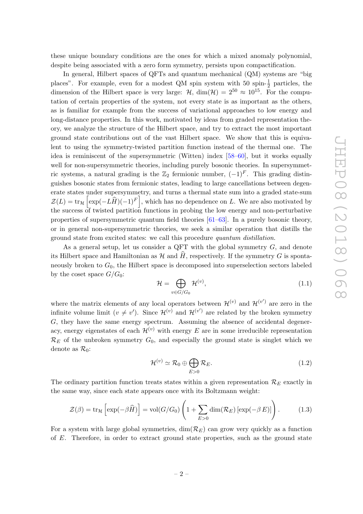these unique boundary conditions are the ones for which a mixed anomaly polynomial, despite being associated with a zero form symmetry, persists upon compactification.

In general, Hilbert spaces of QFTs and quantum mechanical (QM) systems are "big places". For example, even for a modest QM spin system with 50 spin- $\frac{1}{2}$  particles, the dimension of the Hilbert space is very large:  $\mathcal{H}$ , dim( $\mathcal{H}$ ) =  $2^{50} \approx 10^{15}$ . For the computation of certain properties of the system, not every state is as important as the others, as is familiar for example from the success of variational approaches to low energy and long-distance properties. In this work, motivated by ideas from graded representation theory, we analyze the structure of the Hilbert space, and try to extract the most important ground state contributions out of the vast Hilbert space. We show that this is equivalent to using the symmetry-twisted partition function instead of the thermal one. The idea is reminiscent of the supersymmetric (Witten) index [\[58–](#page-27-0)[60\]](#page-27-1), but it works equally well for non-supersymmetric theories, including purely bosonic theories. In supersymmetric systems, a natural grading is the  $\mathbb{Z}_2$  fermionic number,  $(-1)^F$ . This grading distinguishes bosonic states from fermionic states, leading to large cancellations between degenerate states under supersymmetry, and turns a thermal state sum into a graded state-sum  $\mathcal{Z}(L) = \text{tr}_{\mathcal{H}}\left[\exp(-L\widehat{H})(-1)^F\right],$  which has no dependence on L. We are also motivated by the success of twisted partition functions in probing the low energy and non-perturbative properties of supersymmetric quantum field theories [\[61–](#page-27-2)[63\]](#page-27-3). In a purely bosonic theory, or in general non-supersymmetric theories, we seek a similar operation that distills the ground state from excited states: we call this procedure quantum distillation.

As a general setup, let us consider a QFT with the global symmetry  $G$ , and denote its Hilbert space and Hamiltonian as  $\mathcal H$  and  $\hat H$ , respectively. If the symmetry G is spontaneously broken to  $G_0$ , the Hilbert space is decomposed into superselection sectors labeled by the coset space  $G/G_0$ :

$$
\mathcal{H} = \bigoplus_{v \in G/G_0} \mathcal{H}^{(v)},\tag{1.1}
$$

where the matrix elements of any local operators between  $\mathcal{H}^{(v)}$  and  $\mathcal{H}^{(v')}$  are zero in the infinite volume limit  $(v \neq v')$ . Since  $\mathcal{H}^{(v)}$  and  $\mathcal{H}^{(v')}$  are related by the broken symmetry G, they have the same energy spectrum. Assuming the absence of accidental degeneracy, energy eigenstates of each  $\mathcal{H}^{(v)}$  with energy E are in some irreducible representation  $\mathcal{R}_E$  of the unbroken symmetry  $G_0$ , and especially the ground state is singlet which we denote as  $\mathcal{R}_0$ :

$$
\mathcal{H}^{(v)} \simeq \mathcal{R}_0 \oplus \bigoplus_{E>0} \mathcal{R}_E.
$$
\n(1.2)

The ordinary partition function treats states within a given representation  $\mathcal{R}_E$  exactly in the same way, since each state appears once with its Boltzmann weight:

<span id="page-2-0"></span>
$$
\mathcal{Z}(\beta) = \text{tr}_{\mathcal{H}} \left[ \exp(-\beta \widehat{H}) \right] = \text{vol}(G/G_0) \left( 1 + \sum_{E>0} \dim(\mathcal{R}_E) \left[ \exp(-\beta E) \right] \right). \tag{1.3}
$$

For a system with large global symmetries,  $\dim(\mathcal{R}_E)$  can grow very quickly as a function of E. Therefore, in order to extract ground state properties, such as the ground state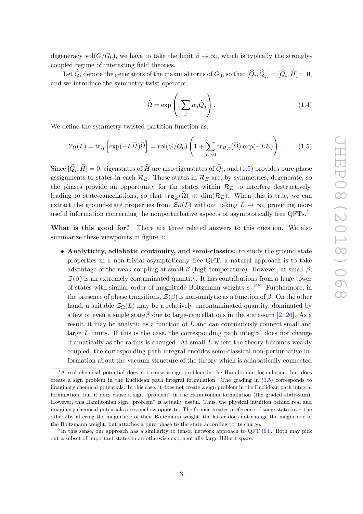degeneracy vol( $G/G_0$ ), we have to take the limit  $\beta \to \infty$ , which is typically the stronglycoupled regime of interesting field theories.

Let  $Q_i$  denote the generators of the maximal torus of  $G_0$ , so that  $[Q_i, Q_j] = [Q_i, H] = 0$ , and we introduce the symmetry-twist operator,

<span id="page-3-0"></span>
$$
\widehat{\Omega} = \exp\left(i \sum_{j} \alpha_{j} \widehat{Q}_{j}\right).
$$
\n(1.4)

We define the symmetry-twisted partition function as:

$$
\mathcal{Z}_{\Omega}(L) = \text{tr}_{\mathcal{H}} \left[ \exp(-L\widehat{H})\widehat{\Omega} \right] = \text{vol}(G/G_0) \left( 1 + \sum_{E>0} \text{tr}_{\mathcal{R}_E}(\widehat{\Omega}) \exp(-LE) \right). \tag{1.5}
$$

Since  $[Q_i, H] = 0$ , eigenstates of H are also eigenstates of  $Q_i$ , and  $(1.5)$  provides pure phase assignments to states in each  $\mathcal{R}_E$ . These states in  $\mathcal{R}_E$  are, by symmetries, degenerate, so the phases provide an opportunity for the states within  $\mathcal{R}_E$  to interfere destructively, leading to state-cancellations, so that  $tr_{\mathcal{R}_E}(\Omega) \ll \dim(\mathcal{R}_E)$ . When this is true, we can extract the ground-state properties from  $\mathcal{Z}_{\Omega}(L)$  without taking  $L \to \infty$ , providing more useful information concerning the nonperturbative aspects of asymptotically free QFTs.<sup>[1](#page-3-1)</sup>

What is this good for? There are three related answers to this question. We also summarize these viewpoints in figure [1:](#page-4-0)

• Analyticity, adiabatic continuity, and semi-classics: to study the ground state properties in a non-trivial asymptotically free QFT, a natural approach is to take advantage of the weak coupling at small- $\beta$  (high temperature). However, at small- $\beta$ ,  $\mathcal{Z}(\beta)$  is an extremely contaminated quantity. It has contributions from a huge tower of states with similar order of magnitude Boltzmann weights  $e^{-\beta E}$ . Furthermore, in the presence of phase transitions,  $\mathcal{Z}(\beta)$  is non-analytic as a function of  $\beta$ . On the other hand, a suitable  $\mathcal{Z}_{\Omega}(L)$  may be a relatively uncontaminated quantity, dominated by a few or even a single state,<sup>[2](#page-3-2)</sup> due to large-cancellations in the state-sum [\[2,](#page-23-1) [26\]](#page-25-5). As a result, it may be analytic as a function of L and can continuously connect small and large L limits. If this is the case, the corresponding path integral does not change dramatically as the radius is changed. At small-L where the theory becomes weakly coupled, the corresponding path integral encodes semi-classical non-perturbative information about the vacuum structure of the theory which is adiabatically connected

<span id="page-3-1"></span><sup>&</sup>lt;sup>1</sup>A real chemical potential does not cause a sign problem in the Hamiltonian formulation, but does create a sign problem in the Euclidean path integral formulation. The grading in [\(1.5\)](#page-3-0) corresponds to imaginary chemical potentials. In this case, it does not create a sign problem in the Euclidean path integral formulation, but it does cause a sign "problem" in the Hamiltonian formulation (the graded state-sum). However, this Hamiltonian sign "problem" is actually useful. Thus, the physical intuition behind real and imaginary chemical potentials are somehow opposite. The former creates preference of some states over the others by altering the magnitude of their Boltzmann weight, the latter does not change the magnitude of the Boltzmann weight, but attaches a pure phase to the state according to its charge.

<span id="page-3-2"></span><sup>&</sup>lt;sup>2</sup>In this sense, our approach has a similarity to tensor network approach to QFT  $[64]$ . Both may pick out a subset of important states in an otherwise exponentially large Hilbert space.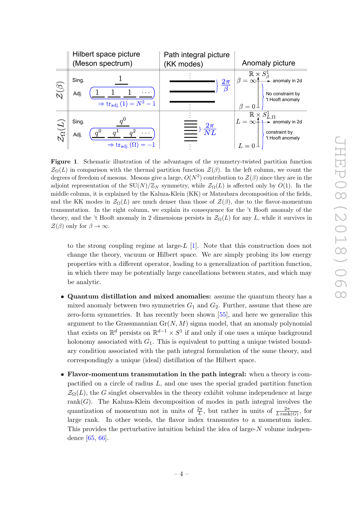

<span id="page-4-0"></span>Figure 1. Schematic illustration of the advantages of the symmetry-twisted partition function  $\mathcal{Z}_{\Omega}(L)$  in comparison with the thermal partition function  $\mathcal{Z}(\beta)$ . In the left column, we count the degrees of freedom of mesons. Mesons give a large,  $O(N^2)$  contribution to  $\mathcal{Z}(\beta)$  since they are in the adjoint representation of the SU(N)/ $\mathbb{Z}_N$  symmetry, while  $\mathcal{Z}_{\Omega}(L)$  is affected only by  $O(1)$ . In the middle column, it is explained by the Kaluza-Klein (KK) or Matsubara decomposition of the fields, and the KK modes in  $\mathcal{Z}_{\Omega}(L)$  are much denser than those of  $\mathcal{Z}(\beta)$ , due to the flavor-momentum transmutation. In the right column, we explain its consequence for the 't Hooft anomaly of the theory, and the 't Hooft anomaly in 2 dimensions persists in  $\mathcal{Z}_{\Omega}(L)$  for any L, while it survives in  $\mathcal{Z}(\beta)$  only for  $\beta \to \infty$ .

to the strong coupling regime at large- $L$  [\[1\]](#page-23-0). Note that this construction does not change the theory, vacuum or Hilbert space. We are simply probing its low energy properties with a different operator, leading to a generalization of partition function, in which there may be potentially large cancellations between states, and which may be analytic.

- Quantum distillation and mixed anomalies: assume the quantum theory has a mixed anomaly between two symmetries  $G_1$  and  $G_2$ . Further, assume that these are zero-form symmetries. It has recently been shown [\[55\]](#page-26-1), and here we generalize this argument to the Grassmannian  $Gr(N, M)$  sigma model, that an anomaly polynomial that exists on  $\mathbb{R}^d$  persists on  $\mathbb{R}^{d-1} \times S^1$  if and only if one uses a unique background holonomy associated with  $G_1$ . This is equivalent to putting a unique twisted boundary condition associated with the path integral formulation of the same theory, and correspondingly a unique (ideal) distillation of the Hilbert space.
- Flavor-momentum transmutation in the path integral: when a theory is compactified on a circle of radius  $L$ , and one uses the special graded partition function  $\mathcal{Z}_{\Omega}(L)$ , the G singlet observables in the theory exhibit volume independence at large rank $(G)$ . The Kaluza-Klein decomposition of modes in path integral involves the quantization of momentum not in units of  $\frac{2\pi}{L}$ , but rather in units of  $\frac{2\pi}{L \operatorname{rank}(G)}$ , for large rank. In other words, the flavor index transmutes to a momentum index. This provides the perturbative intuition behind the idea of large-N volume independence [\[65,](#page-27-5) [66\]](#page-27-6).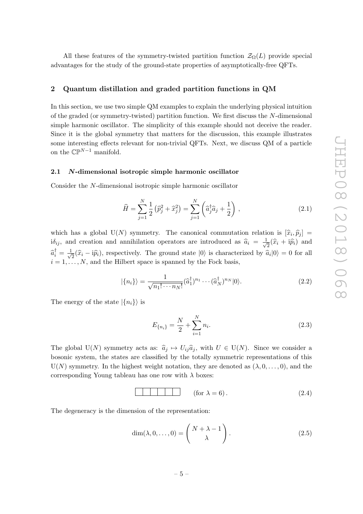All these features of the symmetry-twisted partition function  $\mathcal{Z}_{\Omega}(L)$  provide special advantages for the study of the ground-state properties of asymptotically-free QFTs.

# <span id="page-5-0"></span>2 Quantum distillation and graded partition functions in QM

In this section, we use two simple QM examples to explain the underlying physical intuition of the graded (or symmetry-twisted) partition function. We first discuss the N-dimensional simple harmonic oscillator. The simplicity of this example should not deceive the reader. Since it is the global symmetry that matters for the discussion, this example illustrates some interesting effects relevant for non-trivial QFTs. Next, we discuss QM of a particle on the  $\mathbb{CP}^{N-1}$  manifold.

## <span id="page-5-1"></span>2.1 N-dimensional isotropic simple harmonic oscillator

Consider the N-dimensional isotropic simple harmonic oscillator

$$
\widehat{H} = \sum_{j=1}^{N} \frac{1}{2} \left( \widehat{p}_j^2 + \widehat{x}_j^2 \right) = \sum_{j=1}^{N} \left( \widehat{a}_j^{\dagger} \widehat{a}_j + \frac{1}{2} \right), \qquad (2.1)
$$

which has a global  $U(N)$  symmetry. The canonical commutation relation is  $[\hat{x}_i, \hat{p}_j] =$  $i\delta_{ij}$ , and creation and annihilation operators are introduced as  $\hat{a}_i = \frac{1}{\sqrt{2}}$  $\overline{z}(\widehat{x}_i + \mathrm{i}\widehat{p}_i)$  and  $\widehat{a}_i^{\dagger} = \frac{1}{\sqrt{2}}$  $\overline{z}(\hat{x}_i - i\hat{p}_i)$ , respectively. The ground state  $|0\rangle$  is characterized by  $\hat{a}_i|0\rangle = 0$  for all  $i = 1, \ldots, N$ , and the Hilbert space is spanned by the Fock basis,

$$
|\{n_i\}\rangle = \frac{1}{\sqrt{n_1! \cdots n_N!}} (\hat{a}_1^\dagger)^{n_1} \cdots (\hat{a}_N^\dagger)^{n_N} |0\rangle.
$$
 (2.2)

The energy of the state  $|\{n_i\}\rangle$  is

$$
E_{\{n_i\}} = \frac{N}{2} + \sum_{i=1}^{N} n_i.
$$
\n(2.3)

The global U(N) symmetry acts as:  $\hat{a}_j \mapsto U_{ij} \hat{a}_j$ , with  $U \in U(N)$ . Since we consider a bosonic system, the states are classified by the totally symmetric representations of this  $U(N)$  symmetry. In the highest weight notation, they are denoted as  $(\lambda, 0, \ldots, 0)$ , and the corresponding Young tableau has one row with  $\lambda$  boxes:

$$
\text{(for } \lambda = 6 \text{)} \tag{2.4}
$$

The degeneracy is the dimension of the representation:

$$
\dim(\lambda, 0, \dots, 0) = \begin{pmatrix} N + \lambda - 1 \\ \lambda \end{pmatrix}.
$$
 (2.5)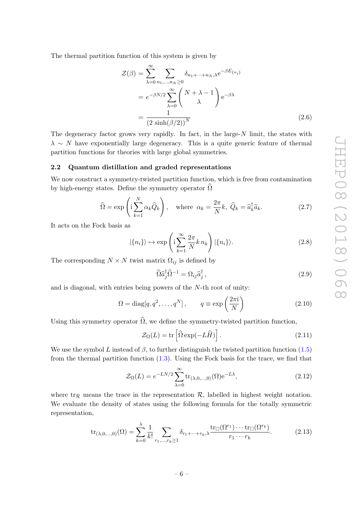The thermal partition function of this system is given by

<span id="page-6-2"></span>
$$
\mathcal{Z}(\beta) = \sum_{\lambda=0}^{\infty} \sum_{n_1,\dots,n_N \ge 0} \delta_{n_1 + \dots + n_N, \lambda} e^{-\beta E_{\{n_i\}}}
$$

$$
= e^{-\beta N/2} \sum_{\lambda=0}^{\infty} {N + \lambda - 1 \choose \lambda} e^{-\beta \lambda}
$$

$$
= \frac{1}{(2 \sinh(\beta/2))^N}
$$
(2.6)

The degeneracy factor grows very rapidly. In fact, in the large- $N$  limit, the states with  $\lambda \sim N$  have exponentially large degeneracy. This is a quite generic feature of thermal partition functions for theories with large global symmetries.

#### <span id="page-6-0"></span>2.2 Quantum distillation and graded representations

We now construct a symmetry-twisted partition function, which is free from contamination by high-energy states. Define the symmetry operator  $\Omega$ 

$$
\widehat{\Omega} = \exp\left(\mathrm{i} \sum_{k=1}^{N} \alpha_k \widehat{Q}_k\right), \quad \text{where } \alpha_k = \frac{2\pi}{N}k, \ \widehat{Q}_k = \widehat{a}_k^{\dagger} \widehat{a}_k. \tag{2.7}
$$

It acts on the Fock basis as

$$
|\{n_i\}\rangle \mapsto \exp\left(i\sum_{k=1}^{\infty} \frac{2\pi}{N} k n_k\right) |\{n_i\}\rangle. \tag{2.8}
$$

The corresponding  $N \times N$  twist matrix  $\Omega_{ij}$  is defined by

$$
\widehat{\Omega} \widehat{a}_{j}^{\dagger} \widehat{\Omega}^{-1} = \Omega_{ij} \widehat{a}_{j}^{\dagger}, \qquad (2.9)
$$

and is diagonal, with entries being powers of the N-th root of unity:

<span id="page-6-4"></span>
$$
\Omega = \text{diag}[q, q^2, \dots, q^N], \qquad q \equiv \exp\left(\frac{2\pi i}{N}\right) \tag{2.10}
$$

Using this symmetry operator  $\widehat{\Omega}$ , we define the symmetry-twisted partition function,

<span id="page-6-3"></span>
$$
\mathcal{Z}_{\Omega}(L) = \text{tr}\left[\widehat{\Omega} \exp(-L\widehat{H})\right].\tag{2.11}
$$

We use the symbol L instead of  $\beta$ , to further distinguish the twisted partition function [\(1.5\)](#page-3-0) from the thermal partition function [\(1.3\)](#page-2-0). Using the Fock basis for the trace, we find that

<span id="page-6-1"></span>
$$
\mathcal{Z}_{\Omega}(L) = e^{-LN/2} \sum_{\lambda=0}^{\infty} \text{tr}_{(\lambda,0,\dots,0)}(\Omega) e^{-L\lambda},\tag{2.12}
$$

where tr<sub>R</sub> means the trace in the representation R, labelled in highest weight notation. We evaluate the density of states using the following formula for the totally symmetric representation,

$$
\operatorname{tr}_{(\lambda,0,\dots,0)}(\Omega) = \sum_{k=0}^{\lambda} \frac{1}{k!} \sum_{r_1,\dots,r_k \ge 1} \delta_{r_1+\dots+r_k,\lambda} \frac{\operatorname{tr}_{\square}(\Omega^{r_1}) \cdots \operatorname{tr}_{\square}(\Omega^{r_k})}{r_1 \cdots r_k}.
$$
 (2.13)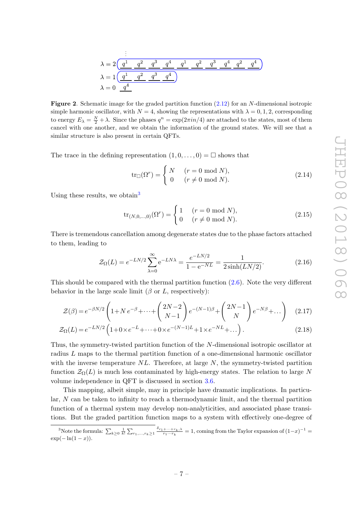$$
\lambda = 2 \underbrace{\left(\frac{q^1}{2} - \frac{q^2}{2} - \frac{q^3}{2} - \frac{q^4}{2} - \frac{q^1}{2} - \frac{q^2}{2} - \frac{q^3}{2} - \frac{q^4}{2} - \frac{q^2}{2} - \frac{q^4}{2} - \frac{q^2}{2} - \frac{q^4}{2}}_{\lambda = 0} \right)}_{\lambda = 0 \frac{q^4}{2}}
$$

**Figure 2.** Schematic image for the graded partition function  $(2.12)$  for an N-dimensional isotropic simple harmonic oscillator, with  $N = 4$ , showing the representations with  $\lambda = 0, 1, 2$ , corresponding to energy  $E_{\lambda} = \frac{N}{2} + \lambda$ . Since the phases  $q^n = \exp(2\pi i n/4)$  are attached to the states, most of them cancel with one another, and we obtain the information of the ground states. We will see that a similar structure is also present in certain QFTs.

The trace in the defining representation  $(1, 0, \ldots, 0) = \square$  shows that

$$
\text{tr}_{\square}(\Omega^r) = \begin{cases} N & (r = 0 \mod N), \\ 0 & (r \neq 0 \mod N). \end{cases} \tag{2.14}
$$

Using these results, we obtain<sup>[3](#page-7-0)</sup>

<span id="page-7-2"></span>
$$
\text{tr}_{(N,0,\dots,0)}(\Omega^r) = \begin{cases} 1 & (r = 0 \text{ mod } N), \\ 0 & (r \neq 0 \text{ mod } N). \end{cases}
$$
(2.15)

There is tremendous cancellation among degenerate states due to the phase factors attached to them, leading to

<span id="page-7-1"></span>
$$
\mathcal{Z}_{\Omega}(L) = e^{-LN/2} \sum_{\lambda=0}^{\infty} e^{-LN\lambda} = \frac{e^{-LN/2}}{1 - e^{-NL}} = \frac{1}{2 \sinh(LN/2)}.
$$
 (2.16)

This should be compared with the thermal partition function [\(2.6\)](#page-6-2). Note the very different behavior in the large scale limit ( $\beta$  or L, respectively):

$$
\mathcal{Z}(\beta) = e^{-\beta N/2} \left( 1 + N e^{-\beta} + \dots + \binom{2N-2}{N-1} e^{-(N-1)\beta} + \binom{2N-1}{N} e^{-N\beta} + \dots \right) \tag{2.17}
$$

$$
\mathcal{Z}_{\Omega}(L) = e^{-LN/2} \left( 1 + 0 \times e^{-L} + \dots + 0 \times e^{-(N-1)L} + 1 \times e^{-NL} + \dots \right). \tag{2.18}
$$

Thus, the symmetry-twisted partition function of the N-dimensional isotropic oscillator at radius L maps to the thermal partition function of a one-dimensional harmonic oscillator with the inverse temperature  $NL$ . Therefore, at large  $N$ , the symmetry-twisted partition function  $\mathcal{Z}_{\Omega}(L)$  is much less contaminated by high-energy states. The relation to large N volume independence in QFT is discussed in section [3.6.](#page-20-0)

This mapping, albeit simple, may in principle have dramatic implications. In particular, N can be taken to infinity to reach a thermodynamic limit, and the thermal partition function of a thermal system may develop non-analyticities, and associated phase transitions. But the graded partition function maps to a system with effectively one-degree of

<span id="page-7-0"></span><sup>&</sup>lt;sup>3</sup>Note the formula:  $\sum_{k\geq 0} \frac{1}{k!} \sum_{r_1,\ldots,r_k\geq 1} \frac{\delta_{r_1+\cdots+r_k,\lambda}}{r_1\cdots r_k} = 1$ , coming from the Taylor expansion of  $(1-x)^{-1} =$  $\exp(-\ln(1-x)).$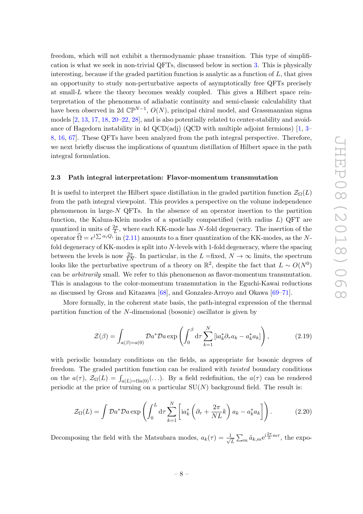freedom, which will not exhibit a thermodynamic phase transition. This type of simplification is what we seek in non-trivial QFTs, discussed below in section [3.](#page-11-0) This is physically interesting, because if the graded partition function is analytic as a function of  $L$ , that gives an opportunity to study non-perturbative aspects of asymptotically free QFTs precisely at small- $L$  where the theory becomes weakly coupled. This gives a Hilbert space reinterpretation of the phenomena of adiabatic continuity and semi-classic calculability that have been observed in 2d  $\mathbb{CP}^{N-1}$ ,  $O(N)$ , principal chiral model, and Grassmannian sigma models [\[2,](#page-23-1) [13,](#page-24-2) [17,](#page-24-4) [18,](#page-24-5) [20–](#page-24-3)[22,](#page-25-3) [28\]](#page-25-4), and is also potentially related to center-stability and avoidance of Hagedorn instability in 4d QCD(adj) (QCD with multiple adjoint fermions)  $[1, 3 [1, 3-$ [8,](#page-24-6) [16,](#page-24-7) [67\]](#page-27-7). These QFTs have been analyzed from the path integral perspective. Therefore, we next briefly discuss the implications of quantum distillation of Hilbert space in the path integral formulation.

#### <span id="page-8-0"></span>2.3 Path integral interpretation: Flavor-momentum transmutation

It is useful to interpret the Hilbert space distillation in the graded partition function  $\mathcal{Z}_{\Omega}(L)$ from the path integral viewpoint. This provides a perspective on the volume independence phenomenon in large- $N$  QFTs. In the absence of an operator insertion to the partition function, the Kaluza-Klein modes of a spatially compactified (with radius  $L$ ) QFT are quantized in units of  $\frac{2\pi}{L}$ , where each KK-mode has N-fold degeneracy. The insertion of the operator  $\widehat{\Omega} = e^{i \sum \alpha_i Q_i}$  in [\(2.11\)](#page-6-3) amounts to a finer quantization of the KK-modes, as the Nfold degeneracy of KK-modes is split into N-levels with 1-fold degeneracy, where the spacing between the levels is now  $\frac{2\pi}{LN}$ . In particular, in the  $L = fixed$ ,  $N \to \infty$  limits, the spectrum looks like the perturbative spectrum of a theory on  $\mathbb{R}^2$ , despite the fact that  $L \sim O(N^0)$ can be arbitrarily small. We refer to this phenomenon as flavor-momentum transmutation. This is analagous to the color-momentum transmutation in the Eguchi-Kawai reductions as discussed by Gross and Kitazawa [\[68\]](#page-27-8), and Gonzalez-Arroyo and Okawa [\[69–](#page-27-9)[71\]](#page-27-10).

More formally, in the coherent state basis, the path-integral expression of the thermal partition function of the N-dimensional (bosonic) oscillator is given by

$$
\mathcal{Z}(\beta) = \int_{a(\beta)=a(0)} \mathcal{D}a^* \mathcal{D}a \exp\left(\int_0^\beta \mathrm{d}\tau \sum_{k=1}^N \left[ia_k^* \partial_\tau a_k - a_k^* a_k\right]\right),\tag{2.19}
$$

with periodic boundary conditions on the fields, as appropriate for bosonic degrees of freedom. The graded partition function can be realized with twisted boundary conditions on the  $a(\tau)$ ,  $\mathcal{Z}_{\Omega}(L) = \int_{a(L)=\Omega_a(0)} (\ldots)$ . By a field redefinition, the  $a(\tau)$  can be rendered periodic at the price of turning on a particular  $SU(N)$  background field. The result is:

$$
\mathcal{Z}_{\Omega}(L) = \int \mathcal{D}a^* \mathcal{D}a \exp\left(\int_0^L \mathrm{d}\tau \sum_{k=1}^N \left[ia_k^* \left(\partial_\tau + \frac{2\pi}{NL}k\right)a_k - a_k^* a_k\right]\right). \tag{2.20}
$$

Decomposing the field with the Matsubara modes,  $a_k(\tau) = \frac{1}{\sqrt{\tau}}$  $\frac{1}{L} \sum_{m} \tilde{a}_{k,m} e^{i\frac{2\pi}{L}m\tau}$ , the expo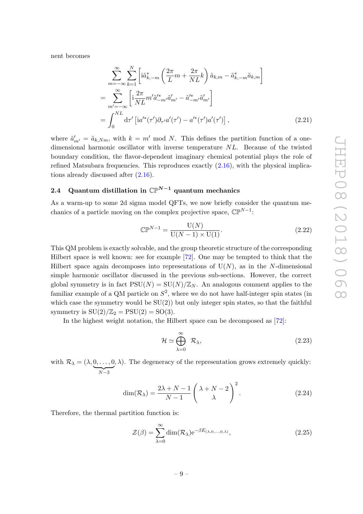nent becomes

$$
\sum_{m=-\infty}^{\infty} \sum_{k=1}^{N} \left[ i\tilde{a}_{k,-m}^{*} \left( \frac{2\pi}{L} m + \frac{2\pi}{NL} k \right) \tilde{a}_{k,m} - \tilde{a}_{k,-m}^{*} \tilde{a}_{k,m} \right]
$$
  
\n
$$
= \sum_{m'=-\infty}^{\infty} \left[ i \frac{2\pi}{NL} m' \tilde{a}_{-m'}^{*} \tilde{a}_{m'}' - \tilde{a}_{-m'}^{*} \tilde{a}_{m'}' \right]
$$
  
\n
$$
= \int_{0}^{NL} d\tau' \left[ i a'^{*}(\tau') \partial_{\tau'} a'(\tau') - a'^{*}(\tau') a'(\tau') \right],
$$
\n(2.21)

where  $\tilde{a}'_{m'} = \tilde{a}_{k,Nm}$ , with  $k = m' \mod N$ . This defines the partition function of a onedimensional harmonic oscillator with inverse temperature NL. Because of the twisted boundary condition, the flavor-dependent imaginary chemical potential plays the role of refined Matsubara frequencies. This reproduces exactly  $(2.16)$ , with the physical implications already discussed after [\(2.16\)](#page-7-1).

# <span id="page-9-0"></span>2.4 Quantum distillation in  $\mathbb{CP}^{N-1}$  quantum mechanics

As a warm-up to some 2d sigma model QFTs, we now briefly consider the quantum mechanics of a particle moving on the complex projective space,  $\mathbb{CP}^{N-1}$ :

$$
\mathbb{CP}^{N-1} = \frac{\mathcal{U}(N)}{\mathcal{U}(N-1) \times \mathcal{U}(1)}.
$$
\n(2.22)

This QM problem is exactly solvable, and the group theoretic structure of the corresponding Hilbert space is well known: see for example [\[72\]](#page-27-11). One may be tempted to think that the Hilbert space again decomposes into representations of  $U(N)$ , as in the N-dimensional simple harmonic oscillator discussed in the previous sub-sections. However, the correct global symmetry is in fact  $PSU(N) = SU(N)/\mathbb{Z}_N$ . An analogous comment applies to the familiar example of a QM particle on  $S^2$ , where we do not have half-integer spin states (in which case the symmetry would be  $SU(2)$ ) but only integer spin states, so that the faithful symmetry is  $SU(2)/\mathbb{Z}_2 = PSU(2) = SO(3)$ .

In the highest weight notation, the Hilbert space can be decomposed as [\[72\]](#page-27-11):

$$
\mathcal{H} \simeq \bigoplus_{\lambda=0}^{\infty} \mathcal{R}_{\lambda},\tag{2.23}
$$

with  $\mathcal{R}_{\lambda} = (\lambda, 0, \dots, 0)$  $\overline{N-3}$  $(\lambda)$ . The degeneracy of the representation grows extremely quickly:

<span id="page-9-1"></span>
$$
\dim(\mathcal{R}_{\lambda}) = \frac{2\lambda + N - 1}{N - 1} \left(\frac{\lambda + N - 2}{\lambda}\right)^2.
$$
 (2.24)

Therefore, the thermal partition function is:

$$
\mathcal{Z}(\beta) = \sum_{\lambda=0}^{\infty} \dim(\mathcal{R}_{\lambda}) e^{-\beta E_{(\lambda,0,\dots,0,\lambda)}},
$$
\n(2.25)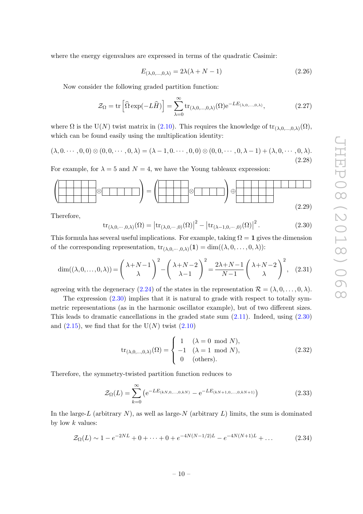where the energy eigenvalues are expressed in terms of the quadratic Casimir:

$$
E_{(\lambda,0,\dots,0,\lambda)} = 2\lambda(\lambda + N - 1) \tag{2.26}
$$

Now consider the following graded partition function:

$$
\mathcal{Z}_{\Omega} = \text{tr}\left[\widehat{\Omega} \exp(-L\widehat{H})\right] = \sum_{\lambda=0}^{\infty} \text{tr}_{(\lambda,0,\dots,0,\lambda)}(\Omega) e^{-LE_{(\lambda,0,\dots,0,\lambda)}},\tag{2.27}
$$

where  $\Omega$  is the U(N) twist matrix in [\(2.10\)](#page-6-4). This requires the knowledge of  $\text{tr}_{(\lambda,0,...,0,\lambda)}(\Omega)$ , which can be found easily using the multiplication identity:

$$
(\lambda, 0. \cdots, 0, 0) \otimes (0, 0, \cdots, 0, \lambda) = (\lambda - 1, 0. \cdots, 0, 0) \otimes (0, 0, \cdots, 0, \lambda - 1) + (\lambda, 0, \cdots, 0, \lambda).
$$
\n(2.28)

For example, for  $\lambda = 5$  and  $N = 4$ , we have the Young tableaux expression:

$$
\left(\begin{array}{|c|c|c|c|}\hline \text{S} & \text{S} & \text{S} & \text{S} & \text{S} & \text{S} & \text{S} & \text{S} & \text{S} & \text{S} & \text{S} & \text{S} & \text{S} & \text{S} & \text{S} & \text{S} & \text{S} & \text{S} & \text{S} & \text{S} & \text{S} & \text{S} & \text{S} & \text{S} & \text{S} & \text{S} & \text{S} & \text{S} & \text{S} & \text{S} & \text{S} & \text{S} & \text{S} & \text{S} & \text{S} & \text{S} & \text{S} & \text{S} & \text{S} & \text{S} & \text{S} & \text{S} & \text{S} & \text{S} & \text{S} & \text{S} & \text{S} & \text{S} & \text{S} & \text{S} & \text{S} & \text{S} & \text{S} & \text{S} & \text{S} & \text{S} & \text{S} & \text{S} & \text{S} & \text{S} & \text{S} & \text{S} & \text{S} & \text{S} & \text{S} & \text{S} & \text{S} & \text{S} & \text{S} & \text{S} & \text{S} & \text{S} & \text{S} & \text{S} & \text{S} & \text{S} & \text{S} & \text{S} & \text{S} & \text{S} & \text{S} & \text{S} & \text{S} & \text{S} & \text{S} & \text{S} & \text{S} & \text{S} & \text{S} & \text{S} & \text{S} & \text{S} & \text{S} & \text{S} & \text{S} & \text{S} & \text{S} & \text{S} & \text{S} & \text{S} & \text{S} & \text{S} & \text{S} & \text{S} & \text{S} & \text{S} & \text{S} & \text{S} & \text{S} & \text{S} & \text{S} & \text{S} & \text{S} & \text{S} & \text{S} & \text{S} & \text{S} & \text{S} & \text{S} & \text{S} & \text{S} & \text{S} & \text{S} & \text{
$$

Therefore,

<span id="page-10-0"></span>
$$
\operatorname{tr}_{(\lambda,0,\cdots,0,\lambda)}(\Omega) = \left| \operatorname{tr}_{(\lambda,0,\cdots,0)}(\Omega) \right|^2 - \left| \operatorname{tr}_{(\lambda-1,0,\cdots,0)}(\Omega) \right|^2. \tag{2.30}
$$

This formula has several useful implications. For example, taking  $\Omega = 1$  gives the dimension of the corresponding representation,  $\text{tr}_{(\lambda,0,\dots,0,\lambda)}(1) = \dim((\lambda,0,\dots,0,\lambda))$ :

$$
\dim((\lambda, 0, \dots, 0, \lambda)) = \left(\begin{array}{c} \lambda + N - 1 \\ \lambda \end{array}\right)^2 - \left(\begin{array}{c} \lambda + N - 2 \\ \lambda - 1 \end{array}\right)^2 = \frac{2\lambda + N - 1}{N - 1} \left(\begin{array}{c} \lambda + N - 2 \\ \lambda \end{array}\right)^2, \quad (2.31)
$$

agreeing with the degeneracy [\(2.24\)](#page-9-1) of the states in the representation  $\mathcal{R} = (\lambda, 0, \ldots, 0, \lambda)$ .

The expression  $(2.30)$  implies that it is natural to grade with respect to totally symmetric representations (as in the harmonic oscillator example), but of two different sizes. This leads to dramatic cancellations in the graded state sum  $(2.11)$ . Indeed, using  $(2.30)$ and  $(2.15)$ , we find that for the U(N) twist  $(2.10)$ 

<span id="page-10-1"></span>
$$
\text{tr}_{(\lambda,0,\dots,0,\lambda)}(\Omega) = \begin{cases} 1 & (\lambda = 0 \mod N), \\ -1 & (\lambda = 1 \mod N), \\ 0 & \text{(others)}. \end{cases}
$$
 (2.32)

Therefore, the symmetry-twisted partition function reduces to

$$
\mathcal{Z}_{\Omega}(L) = \sum_{k=0}^{\infty} \left( e^{-LE_{(kN,0,\dots,0,kN)}} - e^{-LE_{(kN+1,0,\dots,0,kN+1)}} \right)
$$
(2.33)

In the large-L (arbitrary  $N$ ), as well as large-N (arbitrary  $L$ ) limits, the sum is dominated by low  $k$  values:

$$
\mathcal{Z}_{\Omega}(L) \sim 1 - e^{-2NL} + 0 + \dots + 0 + e^{-4N(N-1/2)L} - e^{-4N(N+1)L} + \dots \tag{2.34}
$$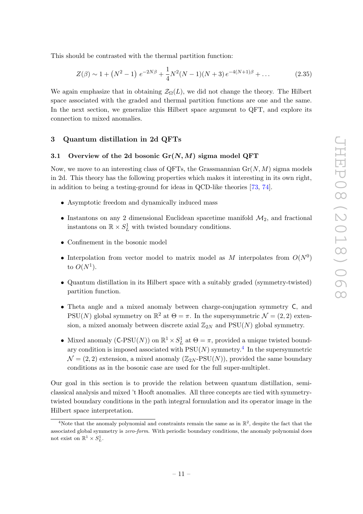This should be contrasted with the thermal partition function:

$$
Z(\beta) \sim 1 + \left(N^2 - 1\right) e^{-2N\beta} + \frac{1}{4} N^2 (N - 1)(N + 3) e^{-4(N+1)\beta} + \dots \tag{2.35}
$$

We again emphasize that in obtaining  $\mathcal{Z}_{\Omega}(L)$ , we did not change the theory. The Hilbert space associated with the graded and thermal partition functions are one and the same. In the next section, we generalize this Hilbert space argument to QFT, and explore its connection to mixed anomalies.

# <span id="page-11-0"></span>3 Quantum distillation in 2d QFTs

#### <span id="page-11-1"></span>3.1 Overview of the 2d bosonic  $\text{Gr}(N, M)$  sigma model QFT

Now, we move to an interesting class of QFTs, the Grassmannian  $Gr(N, M)$  sigma models in 2d. This theory has the following properties which makes it interesting in its own right, in addition to being a testing-ground for ideas in QCD-like theories [\[73,](#page-27-12) [74\]](#page-27-13).

- Asymptotic freedom and dynamically induced mass
- Instantons on any 2 dimensional Euclidean spacetime manifold  $\mathcal{M}_2$ , and fractional instantons on  $\mathbb{R} \times S^1_L$  with twisted boundary conditions.
- Confinement in the bosonic model
- Interpolation from vector model to matrix model as M interpolates from  $O(N^0)$ to  $O(N^1)$ .
- Quantum distillation in its Hilbert space with a suitably graded (symmetry-twisted) partition function.
- Theta angle and a mixed anomaly between charge-conjugation symmetry C, and PSU(N) global symmetry on  $\mathbb{R}^2$  at  $\Theta = \pi$ . In the supersymmetric  $\mathcal{N} = (2, 2)$  extension, a mixed anomaly between discrete axial  $\mathbb{Z}_{2N}$  and PSU(N) global symmetry.
- Mixed anomaly  $(C-PSU(N))$  on  $\mathbb{R}^1 \times S^1_L$  at  $\Theta = \pi$ , provided a unique twisted boundary condition is imposed associated with  $PSU(N)$  symmetry.<sup>[4](#page-11-2)</sup> In the supersymmetric  $\mathcal{N} = (2, 2)$  extension, a mixed anomaly  $(\mathbb{Z}_{2N}$ -PSU(N)), provided the same boundary conditions as in the bosonic case are used for the full super-multiplet.

Our goal in this section is to provide the relation between quantum distillation, semiclassical analysis and mixed 't Hooft anomalies. All three concepts are tied with symmetrytwisted boundary conditions in the path integral formulation and its operator image in the Hilbert space interpretation.

<span id="page-11-2"></span><sup>&</sup>lt;sup>4</sup>Note that the anomaly polynomial and constraints remain the same as in  $\mathbb{R}^2$ , despite the fact that the associated global symmetry is zero-form. With periodic boundary conditions, the anomaly polynomial does not exist on  $\mathbb{R}^1 \times S^1_L$ .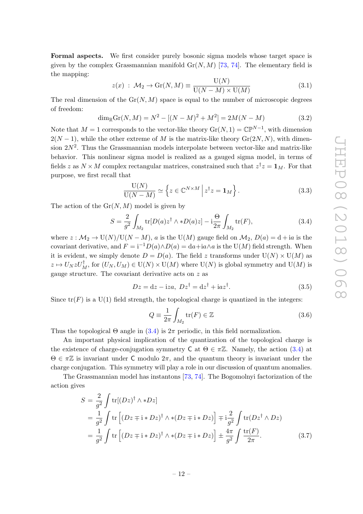Formal aspects. We first consider purely bosonic sigma models whose target space is given by the complex Grassmannian manifold  $Gr(N, M)$  [\[73,](#page-27-12) [74\]](#page-27-13). The elementary field is the mapping:

$$
z(x) : \mathcal{M}_2 \to \text{Gr}(N, M) \equiv \frac{\text{U}(N)}{\text{U}(N - M) \times \text{U}(M)} \tag{3.1}
$$

The real dimension of the  $Gr(N, M)$  space is equal to the number of microscopic degrees of freedom:

$$
\dim_{\mathbb{R}} \mathrm{Gr}(N, M) = N^2 - [(N - M)^2 + M^2] = 2M(N - M)
$$
\n(3.2)

Note that  $M = 1$  corresponds to the vector-like theory  $\text{Gr}(N, 1) = \mathbb{CP}^{N-1}$ , with dimension  $2(N-1)$ , while the other extreme of M is the matrix-like theory  $Gr(2N, N)$ , with dimension  $2N^2$ . Thus the Grassmannian models interpolate between vector-like and matrix-like behavior. This nonlinear sigma model is realized as a gauged sigma model, in terms of fields z as  $N \times M$  complex rectangular matrices, constrained such that  $z^{\dagger} z = \mathbf{1}_M$ . For that purpose, we first recall that

$$
\frac{\mathcal{U}(N)}{\mathcal{U}(N-M)} \simeq \left\{ z \in \mathbb{C}^{N \times M} \, \middle| \, z^{\dagger} z = \mathbf{1}_M \right\}.
$$
\n(3.3)

The action of the  $Gr(N, M)$  model is given by

<span id="page-12-0"></span>
$$
S = \frac{2}{g^2} \int_{M_2} \text{tr}[D(a)z^\dagger \wedge *D(a)z] - i\frac{\Theta}{2\pi} \int_{M_2} \text{tr}(F),\tag{3.4}
$$

where  $z : \mathcal{M}_2 \to \mathrm{U}(N)/\mathrm{U}(N-M)$ , a is the  $\mathrm{U}(M)$  gauge field on  $\mathcal{M}_2$ ,  $D(a) = d + ia$  is the covariant derivative, and  $F = i^{-1}D(a) \wedge D(a) = da + ia \wedge a$  is the U(M) field strength. When it is evident, we simply denote  $D = D(a)$ . The field z transforms under  $U(N) \times U(M)$  as  $z \mapsto U_N z U_M^{\dagger}$ , for  $(U_N, U_M) \in U(N) \times U(M)$  where  $U(N)$  is global symmetry and  $U(M)$  is gauge structure. The covariant derivative acts on  $z$  as

$$
Dz = dz - iza, \ Dz^{\dagger} = dz^{\dagger} + iaz^{\dagger}.
$$
 (3.5)

Since  $tr(F)$  is a U(1) field strength, the topological charge is quantized in the integers:

<span id="page-12-1"></span>
$$
Q = \frac{1}{2\pi} \int_{M_2} \text{tr}(F) \in \mathbb{Z}
$$
\n(3.6)

Thus the topological  $\Theta$  angle in  $(3.4)$  is  $2\pi$  periodic, in this field normalization.

An important physical implication of the quantization of the topological charge is the existence of charge-conjugation symmetry C at  $\Theta \in \pi \mathbb{Z}$ . Namely, the action [\(3.4\)](#page-12-0) at  $\Theta \in \pi \mathbb{Z}$  is invariant under C modulo  $2\pi$ , and the quantum theory is invariant under the charge conjugation. This symmetry will play a role in our discussion of quantum anomalies.

The Grassmannian model has instantons [\[73,](#page-27-12) [74\]](#page-27-13). The Bogomolnyi factorization of the action gives

$$
S = \frac{2}{g^2} \int tr[(Dz)^{\dagger} \wedge *Dz]
$$
  
=  $\frac{1}{g^2} \int tr [(Dz+i*Dz)^{\dagger} \wedge * (Dz+i*Dz)] \mp i \frac{2}{g^2} \int tr(Dz^{\dagger} \wedge Dz)$   
=  $\frac{1}{g^2} \int tr [(Dz+i*Dz)^{\dagger} \wedge * (Dz+i*Dz)] \pm \frac{4\pi}{g^2} \int \frac{tr(F)}{2\pi}$ . (3.7)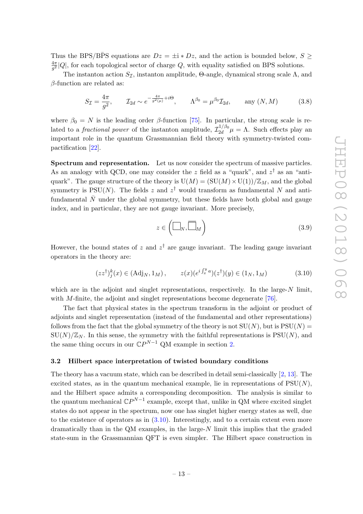Thus the BPS/BPS equations are  $Dz = \pm i * Dz$ , and the action is bounded below,  $S \geq$  $\frac{4\pi}{ }$  $\frac{4\pi}{g^2}|Q|$ , for each topological sector of charge Q, with equality satisfied on BPS solutions.

The instanton action  $S_{\mathcal{I}}$ , instanton amplitude, Θ-angle, dynamical strong scale  $\Lambda$ , and  $\beta$ -function are related as:

$$
S_{\mathcal{I}} = \frac{4\pi}{g^2}, \qquad \mathcal{I}_{2d} \sim e^{-\frac{4\pi}{g^2(\mu)} + i\Theta}, \qquad \Lambda^{\beta_0} = \mu^{\beta_0} \mathcal{I}_{2d}, \qquad \text{any } (N, M) \tag{3.8}
$$

where  $\beta_0 = N$  is the leading order  $\beta$ -function [\[75\]](#page-27-14). In particular, the strong scale is related to a *fractional power* of the instanton amplitude,  $\mathcal{I}_{2d}^{1/\beta_0}$  $\int_{2d}^{1/\rho_0} \mu = \Lambda$ . Such effects play an important role in the quantum Grassmannian field theory with symmetry-twisted compactification [\[22\]](#page-25-3).

Spectrum and representation. Let us now consider the spectrum of massive particles. As an analogy with QCD, one may consider the z field as a "quark", and  $z^{\dagger}$  as an "antiquark". The gauge structure of the theory is  $U(M) = (SU(M) \times U(1))/\mathbb{Z}_M$ , and the global symmetry is  $PSU(N)$ . The fields z and  $z^{\dagger}$  would transform as fundamental N and antifundamental  $\overline{N}$  under the global symmetry, but these fields have both global and gauge index, and in particular, they are not gauge invariant. More precisely,

<span id="page-13-2"></span><span id="page-13-1"></span>
$$
z \in \left(\Box_N, \overline{\Box}_M\right) \tag{3.9}
$$

However, the bound states of z and  $z^{\dagger}$  are gauge invariant. The leading gauge invariant operators in the theory are:

$$
(zz^{\dagger})_{j}^{k}(x) \in (\text{Adj}_{N}, 1_{M}), \qquad z(x)(e^{i \int_{x}^{y} a})(z^{\dagger})(y) \in (1_{N}, 1_{M}) \tag{3.10}
$$

which are in the adjoint and singlet representations, respectively. In the large- $N$  limit, with *M*-finite, the adjoint and singlet representations become degenerate [\[76\]](#page-27-15).

The fact that physical states in the spectrum transform in the adjoint or product of adjoints and singlet representation (instead of the fundamental and other representations) follows from the fact that the global symmetry of the theory is not  $SU(N)$ , but is  $PSU(N)$  =  $\text{SU}(N)/\mathbb{Z}_N$ . In this sense, the symmetry with the faithful representations is  $\text{PSU}(N)$ , and the same thing occurs in our  $\mathbb{C}P^{N-1}$  QM example in section [2.](#page-5-0)

#### <span id="page-13-0"></span>3.2 Hilbert space interpretation of twisted boundary conditions

The theory has a vacuum state, which can be described in detail semi-classically [\[2,](#page-23-1) [13\]](#page-24-2). The excited states, as in the quantum mechanical example, lie in representations of  $PSU(N)$ , and the Hilbert space admits a corresponding decomposition. The analysis is similar to the quantum mechanical  $\mathbb{C}P^{N-1}$  example, except that, unlike in QM where excited singlet states do not appear in the spectrum, now one has singlet higher energy states as well, due to the existence of operators as in [\(3.10\)](#page-13-1). Interestingly, and to a certain extent even more dramatically than in the QM examples, in the large- $N$  limit this implies that the graded state-sum in the Grassmannian QFT is even simpler. The Hilbert space construction in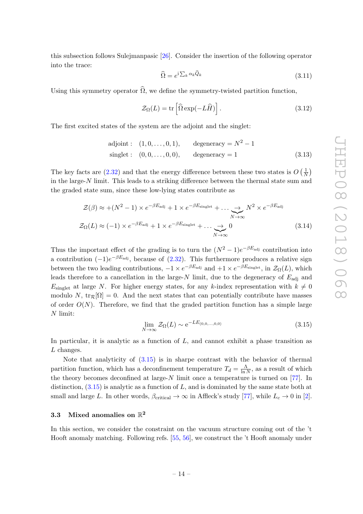this subsection follows Sulejmanpasic [\[26\]](#page-25-5). Consider the insertion of the following operator into the trace:

$$
\widehat{\Omega} = e^{i \sum_{k} \alpha_{k} \widehat{Q}_{k}} \tag{3.11}
$$

Using this symmetry operator  $\widehat{\Omega}$ , we define the symmetry-twisted partition function,

$$
\mathcal{Z}_{\Omega}(L) = \text{tr}\left[\widehat{\Omega} \exp(-L\widehat{H})\right].\tag{3.12}
$$

The first excited states of the system are the adjoint and the singlet:

adjoint: 
$$
(1, 0, ..., 0, 1)
$$
, degeneracy =  $N^2 - 1$   
singlet:  $(0, 0, ..., 0, 0)$ , degeneracy = 1 (3.13)

The key facts are [\(2.32\)](#page-10-1) and that the energy difference between these two states is  $O\left(\frac{1}{\Lambda}\right)$  $\frac{1}{N}$ in the large-N limit. This leads to a striking difference between the thermal state sum and the graded state sum, since these low-lying states contribute as

$$
\mathcal{Z}(\beta) \approx + (N^2 - 1) \times e^{-\beta E_{\text{adj}}} + 1 \times e^{-\beta E_{\text{singlet}}} + \dots \underset{N \to \infty}{\longrightarrow} N^2 \times e^{-\beta E_{\text{adj}}}
$$
  

$$
\mathcal{Z}_{\Omega}(L) \approx (-1) \times e^{-\beta E_{\text{adj}}} + 1 \times e^{-\beta E_{\text{singlet}}} + \dots \underset{N \to \infty}{\longrightarrow} 0
$$
(3.14)

Thus the important effect of the grading is to turn the  $(N^2-1)e^{-\beta E_{\text{adj}}}$  contribution into a contribution  $(-1)e^{-\beta E_{\text{adj}}}$ , because of  $(2.32)$ . This furthermore produces a relative sign between the two leading contributions,  $-1 \times e^{-\beta E_{\text{adj}}}$  and  $+1 \times e^{-\beta E_{\text{singlet}}}$ , in  $\mathcal{Z}_{\Omega}(L)$ , which leads therefore to a cancellation in the large- $N$  limit, due to the degeneracy of  $E_{\text{adj}}$  and  $E_{\text{singlet}}$  at large N. For higher energy states, for any k-index representation with  $k \neq 0$ modulo N,  $\text{tr}_{\mathcal{R}}[\Omega] = 0$ . And the next states that can potentially contribute have masses of order  $O(N)$ . Therefore, we find that the graded partition function has a simple large N limit:

<span id="page-14-1"></span>
$$
\lim_{N \to \infty} \mathcal{Z}_{\Omega}(L) \sim e^{-LE_{(0,0,\dots,0,0)}} \tag{3.15}
$$

In particular, it is analytic as a function of  $L$ , and cannot exhibit a phase transition as L changes.

Note that analyticity of [\(3.15\)](#page-14-1) is in sharpe contrast with the behavior of thermal partition function, which has a deconfinement temperature  $T_d = \frac{\Lambda}{\ln d}$  $\frac{\Lambda}{\ln N}$ , as a result of which the theory becomes deconfined at large- $N$  limit once a temperature is turned on [\[77\]](#page-28-0). In distinction,  $(3.15)$  is analytic as a function of L, and is dominated by the same state both at small and large L. In other words,  $\beta_{critical} \to \infty$  in Affleck's study [\[77\]](#page-28-0), while  $L_c \to 0$  in [\[2\]](#page-23-1).

# <span id="page-14-0"></span>3.3 Mixed anomalies on  $\mathbb{R}^2$

In this section, we consider the constraint on the vacuum structure coming out of the 't Hooft anomaly matching. Following refs. [\[55,](#page-26-1) [56\]](#page-26-2), we construct the 't Hooft anomaly under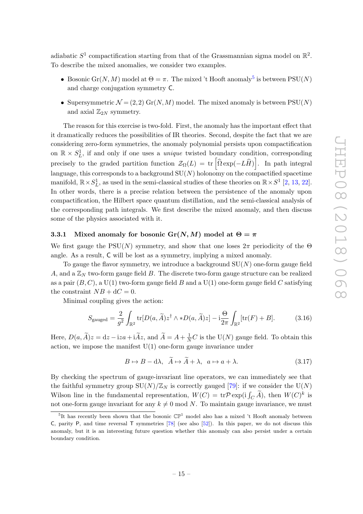adiabatic  $S^1$  compactification starting from that of the Grassmannian sigma model on  $\mathbb{R}^2$ . To describe the mixed anomalies, we consider two examples.

- Bosonic Gr(N, M) model at  $\Theta = \pi$ . The mixed 't Hooft anomaly<sup>[5](#page-15-1)</sup> is between PSU(N) and charge conjugation symmetry C.
- Supersymmetric  $\mathcal{N} = (2,2)$  Gr(N, M) model. The mixed anomaly is between PSU(N) and axial  $\mathbb{Z}_{2N}$  symmetry.

The reason for this exercise is two-fold. First, the anomaly has the important effect that it dramatically reduces the possibilities of IR theories. Second, despite the fact that we are considering zero-form symmetries, the anomaly polynomial persists upon compactification on  $\mathbb{R} \times S^1_L$ , if and only if one uses a *unique* twisted boundary condition, corresponding precisely to the graded partition function  $\mathcal{Z}_{\Omega}(L) = \text{tr}\left[\widehat{\Omega} \exp(-L\widehat{H})\right]$ . In path integral language, this corresponds to a background  $SU(N)$  holonomy on the compactified spacetime manifold,  $\mathbb{R} \times S^1_L$ , as used in the semi-classical studies of these theories on  $\mathbb{R} \times S^1$  [\[2,](#page-23-1) [13,](#page-24-2) [22\]](#page-25-3). In other words, there is a precise relation between the persistence of the anomaly upon compactification, the Hilbert space quantum distillation, and the semi-classical analysis of the corresponding path integrals. We first describe the mixed anomaly, and then discuss some of the physics associated with it.

#### <span id="page-15-0"></span>3.3.1 Mixed anomaly for bosonic Gr(N, M) model at  $\Theta = \pi$

We first gauge the  $PSU(N)$  symmetry, and show that one loses  $2\pi$  periodicity of the  $\Theta$ angle. As a result, C will be lost as a symmetry, implying a mixed anomaly.

To gauge the flavor symmetry, we introduce a background  $SU(N)$  one-form gauge field A, and a  $\mathbb{Z}_N$  two-form gauge field B. The discrete two-form gauge structure can be realized as a pair  $(B, C)$ , a U(1) two-form gauge field B and a U(1) one-form gauge field C satisfying the constraint  $NB + dC = 0$ .

Minimal coupling gives the action:

$$
S_{\text{gauged}} = \frac{2}{g^2} \int_{\mathbb{R}^2} \text{tr}[D(a,\widetilde{A})z^\dagger \wedge *D(a,\widetilde{A})z] - i\frac{\Theta}{2\pi} \int_{\mathbb{R}^2} [\text{tr}(F) + B]. \tag{3.16}
$$

Here,  $D(a, \widetilde{A})z = dz - iza + i\widetilde{A}z$ , and  $\widetilde{A} = A + \frac{1}{N}C$  is the  $U(N)$  gauge field. To obtain this action, we impose the manifest  $U(1)$  one-form gauge invariance under

$$
B \mapsto B - d\lambda, \quad \tilde{A} \mapsto \tilde{A} + \lambda, \quad a \mapsto a + \lambda. \tag{3.17}
$$

By checking the spectrum of gauge-invariant line operators, we can immediately see that the faithful symmetry group  $SU(N)/\mathbb{Z}_N$  is correctly gauged [\[79\]](#page-28-1): if we consider the  $U(N)$ Wilson line in the fundamental representation,  $W(C) = \text{tr} \mathcal{P} \exp(i \int_C \tilde{A})$ , then  $W(C)^k$  is not one-form gauge invariant for any  $k \neq 0 \text{ mod } N$ . To maintain gauge invariance, we must

<span id="page-15-1"></span><sup>&</sup>lt;sup>5</sup>It has recently been shown that the bosonic  $\mathbb{CP}^1$  model also has a mixed 't Hooft anomaly between C, parity P, and time reversal  $T$  symmetries [\[78\]](#page-28-2) (see also [\[52\]](#page-26-3)). In this paper, we do not discuss this anomaly, but it is an interesting future question whether this anomaly can also persist under a certain boundary condition.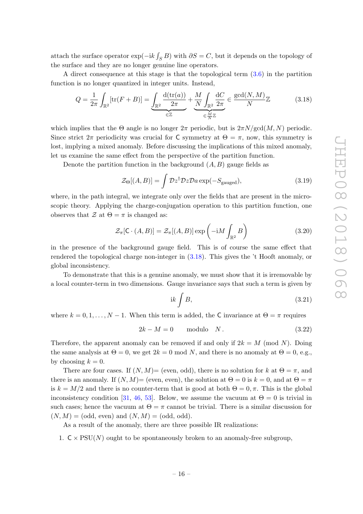attach the surface operator  $\exp(-ik \int_S B)$  with  $\partial S = C$ , but it depends on the topology of the surface and they are no longer genuine line operators.

A direct consequence at this stage is that the topological term [\(3.6\)](#page-12-1) in the partition function is no longer quantized in integer units. Instead,

$$
Q = \frac{1}{2\pi} \int_{\mathbb{R}^2} [\text{tr}(F+B)] = \underbrace{\int_{\mathbb{R}^2} \frac{\text{d}(\text{tr}(a))}{2\pi}}_{\in \mathbb{Z}} + \underbrace{\frac{M}{N} \int_{\mathbb{R}^2} \frac{\text{d}C}{2\pi}}_{\in \frac{M}{N} \mathbb{Z}} \in \frac{\text{gcd}(N, M)}{N} \mathbb{Z} \tag{3.18}
$$

which implies that the  $\Theta$  angle is no longer  $2\pi$  periodic, but is  $2\pi N/gcd(M, N)$  periodic. Since strict  $2\pi$  periodicity was crucial for C symmetry at  $\Theta = \pi$ , now, this symmetry is lost, implying a mixed anomaly. Before discussing the implications of this mixed anomaly, let us examine the same effect from the perspective of the partition function.

Denote the partition function in the background  $(A, B)$  gauge fields as

<span id="page-16-0"></span>
$$
\mathcal{Z}_{\Theta}[(A,B)] = \int \mathcal{D}z^{\dagger} \mathcal{D}z \mathcal{D}a \exp(-S_{\text{gauged}}), \qquad (3.19)
$$

where, in the path integral, we integrate only over the fields that are present in the microscopic theory. Applying the charge-conjugation operation to this partition function, one observes that  $\mathcal Z$  at  $\Theta = \pi$  is changed as:

$$
\mathcal{Z}_{\pi}[\mathsf{C} \cdot (A, B)] = \mathcal{Z}_{\pi}[(A, B)] \exp\left(-\mathrm{i}M \int_{\mathbb{R}^2} B\right) \tag{3.20}
$$

in the presence of the background gauge field. This is of course the same effect that rendered the topological charge non-integer in [\(3.18\)](#page-16-0). This gives the 't Hooft anomaly, or global inconsistency.

To demonstrate that this is a genuine anomaly, we must show that it is irremovable by a local counter-term in two dimensions. Gauge invariance says that such a term is given by

$$
ik \int B,\tag{3.21}
$$

where  $k = 0, 1, ..., N - 1$ . When this term is added, the C invariance at  $\Theta = \pi$  requires

$$
2k - M = 0 \qquad \text{modulo} \quad N. \tag{3.22}
$$

Therefore, the apparent anomaly can be removed if and only if  $2k = M \pmod{N}$ . Doing the same analysis at  $\Theta = 0$ , we get  $2k = 0 \text{ mod } N$ , and there is no anomaly at  $\Theta = 0$ , e.g., by choosing  $k = 0$ .

There are four cases. If  $(N, M)$ = (even, odd), there is no solution for k at  $\Theta = \pi$ , and there is an anomaly. If  $(N, M)$ = (even, even), the solution at  $\Theta = 0$  is  $k = 0$ , and at  $\Theta = \pi$ is  $k = M/2$  and there is no counter-term that is good at both  $\Theta = 0, \pi$ . This is the global inconsistency condition [\[31,](#page-25-2) [46,](#page-26-4) [53\]](#page-26-5). Below, we assume the vacuum at  $\Theta = 0$  is trivial in such cases; hence the vacuum at  $\Theta = \pi$  cannot be trivial. There is a similar discussion for  $(N, M) = (odd, even)$  and  $(N, M) = (odd, odd)$ .

As a result of the anomaly, there are three possible IR realizations:

1.  $C \times \text{PSU}(N)$  ought to be spontaneously broken to an anomaly-free subgroup,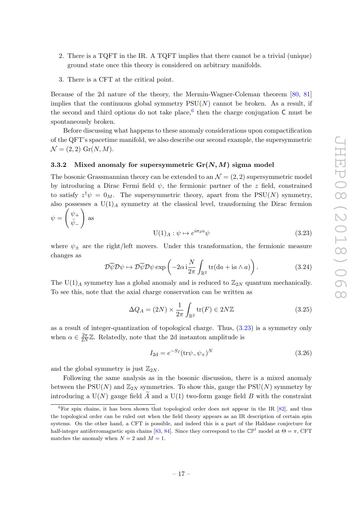- 2. There is a TQFT in the IR. A TQFT implies that there cannot be a trivial (unique) ground state once this theory is considered on arbitrary manifolds.
- 3. There is a CFT at the critical point.

Because of the 2d nature of the theory, the Mermin-Wagner-Coleman theorem [\[80,](#page-28-3) [81\]](#page-28-4) implies that the continuous global symmetry  $PSU(N)$  cannot be broken. As a result, if the second and third options do not take place,  $6$  then the charge conjugation C must be spontaneously broken.

Before discussing what happens to these anomaly considerations upon compactification of the QFT's spacetime manifold, we also describe our second example, the supersymmetric  $\mathcal{N} = (2, 2)$  Gr(N, M).

## <span id="page-17-0"></span>3.3.2 Mixed anomaly for supersymmetric  $Gr(N, M)$  sigma model

The bosonic Grassmannian theory can be extended to an  $\mathcal{N} = (2, 2)$  supersymmetric model by introducing a Dirac Fermi field  $\psi$ , the fermionic partner of the z field, constrained to satisfy  $z^{\dagger} \psi = 0_M$ . The supersymmetric theory, apart from the PSU(N) symmetry, also possesses a  $U(1)_A$  symmetry at the classical level, transforming the Dirac fermion  $\sqrt{ }$  $\setminus$ 

$$
\psi = \begin{pmatrix} \psi_+ \\ \bar{\psi}_- \end{pmatrix} \text{ as}
$$
  
U(1)<sub>A</sub> :  $\psi \mapsto e^{i\sigma_3 \alpha} \psi$  (3.23)

where  $\psi_{\pm}$  are the right/left movers. Under this transformation, the fermionic measure changes as

<span id="page-17-2"></span>
$$
\mathcal{D}\overline{\psi}\mathcal{D}\psi \mapsto \mathcal{D}\overline{\psi}\mathcal{D}\psi \exp\left(-2\alpha i \frac{N}{2\pi} \int_{\mathbb{R}^2} \text{tr}(\text{d}a + i a \wedge a)\right). \tag{3.24}
$$

The U(1)<sub>A</sub> symmetry has a global anomaly and is reduced to  $\mathbb{Z}_{2N}$  quantum mechanically. To see this, note that the axial charge conservation can be written as

$$
\Delta Q_A = (2N) \times \frac{1}{2\pi} \int_{\mathbb{R}^2} \text{tr}(F) \in 2N\mathbb{Z}
$$
 (3.25)

as a result of integer-quantization of topological charge. Thus, [\(3.23\)](#page-17-2) is a symmetry only when  $\alpha \in \frac{2\pi}{2\lambda}$  $\frac{2\pi}{2N}\mathbb{Z}$ . Relatedly, note that the 2d instanton amplitude is

$$
I_{2d} = e^{-S_I} (\text{tr}\psi_- \psi_+)^N \tag{3.26}
$$

and the global symmetry is just  $\mathbb{Z}_{2N}$ .

Following the same analysis as in the bosonic discussion, there is a mixed anomaly between the PSU(N) and  $\mathbb{Z}_{2N}$  symmetries. To show this, gauge the PSU(N) symmetry by introducing a  $U(N)$  gauge field A and a  $U(1)$  two-form gauge field B with the constraint

<span id="page-17-1"></span><sup>&</sup>lt;sup>6</sup>For spin chains, it has been shown that topological order does not appear in the IR  $[82]$ , and thus the topological order can be ruled out when the field theory appears as an IR description of certain spin systems. On the other hand, a CFT is possible, and indeed this is a part of the Haldane conjecture for half-integer antiferromagnetic spin chains [\[83,](#page-28-6) [84\]](#page-28-7). Since they correspond to the  $\mathbb{CP}^1$  model at  $\Theta = \pi$ , CFT matches the anomaly when  $N = 2$  and  $M = 1$ .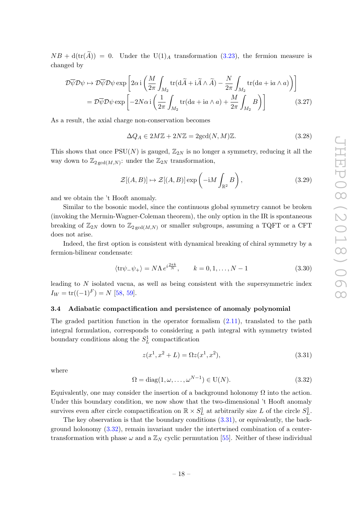$NB + d(tr(A)) = 0$ . Under the U(1)<sub>A</sub> transformation [\(3.23\)](#page-17-2), the fermion measure is changed by

$$
\mathcal{D}\overline{\psi}\mathcal{D}\psi \mapsto \mathcal{D}\overline{\psi}\mathcal{D}\psi \exp\left[2\alpha \mathbf{i} \left(\frac{M}{2\pi} \int_{M_2} \text{tr}(\mathrm{d}\tilde{A} + \mathbf{i}\tilde{A} \wedge \tilde{A}) - \frac{N}{2\pi} \int_{M_2} \text{tr}(\mathrm{d}a + \mathbf{i}a \wedge a)\right)\right]
$$
  
=  $\mathcal{D}\overline{\psi}\mathcal{D}\psi \exp\left[-2N\alpha \mathbf{i} \left(\frac{1}{2\pi} \int_{M_2} \text{tr}(\mathrm{d}a + \mathbf{i}a \wedge a) + \frac{M}{2\pi} \int_{M_2} B\right)\right]$  (3.27)

As a result, the axial charge non-conservation becomes

$$
\Delta Q_A \in 2M\mathbb{Z} + 2N\mathbb{Z} = 2\text{gcd}(N, M)\mathbb{Z}.
$$
\n(3.28)

This shows that once  $PSU(N)$  is gauged,  $\mathbb{Z}_{2N}$  is no longer a symmetry, reducing it all the way down to  $\mathbb{Z}_{2 \text{ gcd}(M,N)}$ : under the  $\mathbb{Z}_{2N}$  transformation,

$$
\mathcal{Z}[(A,B)] \mapsto \mathcal{Z}[(A,B)] \exp\left(-iM \int_{\mathbb{R}^2} B\right),\tag{3.29}
$$

and we obtain the 't Hooft anomaly.

Similar to the bosonic model, since the continuous global symmetry cannot be broken (invoking the Mermin-Wagner-Coleman theorem), the only option in the IR is spontaneous breaking of  $\mathbb{Z}_{2N}$  down to  $\mathbb{Z}_{2 \text{ gcd}(M,N)}$  or smaller subgroups, assuming a TQFT or a CFT does not arise.

Indeed, the first option is consistent with dynamical breaking of chiral symmetry by a fermion-bilinear condensate:

$$
\langle \text{tr}\psi_-\psi_+\rangle = N\Lambda \, e^{i\frac{2\pi k}{N}}, \qquad k = 0, 1, \dots, N-1 \tag{3.30}
$$

leading to  $N$  isolated vacua, as well as being consistent with the supersymmetric index  $I_W = \text{tr}((-1)^F) = N$  [\[58,](#page-27-0) [59\]](#page-27-16).

# <span id="page-18-0"></span>3.4 Adiabatic compactification and persistence of anomaly polynomial

The graded partition function in the operator formalism  $(2.11)$ , translated to the path integral formulation, corresponds to considering a path integral with symmetry twisted boundary conditions along the  $S<sub>L</sub><sup>1</sup>$  compactification

<span id="page-18-1"></span>
$$
z(x^1, x^2 + L) = \Omega z(x^1, x^2),\tag{3.31}
$$

where

<span id="page-18-2"></span>
$$
\Omega = \text{diag}(1, \omega, \dots, \omega^{N-1}) \in U(N). \tag{3.32}
$$

Equivalently, one may consider the insertion of a background holonomy  $\Omega$  into the action. Under this boundary condition, we now show that the two-dimensional 't Hooft anomaly survives even after circle compactification on  $\mathbb{R} \times S^1_L$  at arbitrarily size L of the circle  $S^1_L$ .

The key observation is that the boundary conditions [\(3.31\)](#page-18-1), or equivalently, the background holonomy [\(3.32\)](#page-18-2), remain invariant under the intertwined combination of a centertransformation with phase  $\omega$  and a  $\mathbb{Z}_N$  cyclic permutation [\[55\]](#page-26-1). Neither of these individual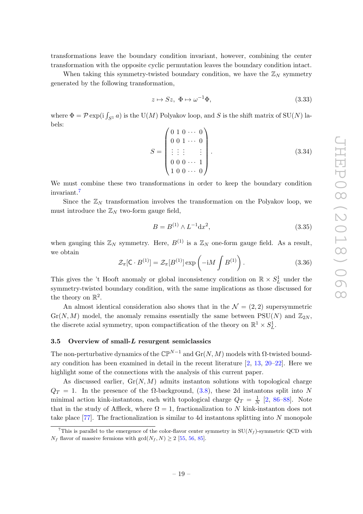transformations leave the boundary condition invariant, however, combining the center transformation with the opposite cyclic permutation leaves the boundary condition intact.

When taking this symmetry-twisted boundary condition, we have the  $\mathbb{Z}_N$  symmetry generated by the following transformation,

$$
z \mapsto Sz, \ \Phi \mapsto \omega^{-1}\Phi,\tag{3.33}
$$

where  $\Phi = \mathcal{P} \exp(\mathrm{i} \int_{S^1} a)$  is the U(M) Polyakov loop, and S is the shift matrix of SU(N) labels:

$$
S = \begin{pmatrix} 0 & 1 & 0 & \cdots & 0 \\ 0 & 0 & 1 & \cdots & 0 \\ \vdots & \vdots & \vdots & & \vdots \\ 0 & 0 & 0 & \cdots & 1 \\ 1 & 0 & 0 & \cdots & 0 \end{pmatrix} .
$$
 (3.34)

We must combine these two transformations in order to keep the boundary condition invariant.[7](#page-19-1)

Since the  $\mathbb{Z}_N$  transformation involves the transformation on the Polyakov loop, we must introduce the  $\mathbb{Z}_N$  two-form gauge field,

$$
B = B^{(1)} \wedge L^{-1} \mathrm{d}x^2,\tag{3.35}
$$

when gauging this  $\mathbb{Z}_N$  symmetry. Here,  $B^{(1)}$  is a  $\mathbb{Z}_N$  one-form gauge field. As a result, we obtain

$$
\mathcal{Z}_{\pi}[\mathbf{C} \cdot B^{(1)}] = \mathcal{Z}_{\pi}[B^{(1)}] \exp\left(-iM \int B^{(1)}\right). \tag{3.36}
$$

This gives the 't Hooft anomaly or global inconsistency condition on  $\mathbb{R} \times S^1_L$  under the symmetry-twisted boundary condition, with the same implications as those discussed for the theory on  $\mathbb{R}^2$ .

An almost identical consideration also shows that in the  $\mathcal{N} = (2, 2)$  supersymmetric  $Gr(N, M)$  model, the anomaly remains essentially the same between PSU(N) and  $\mathbb{Z}_{2N}$ , the discrete axial symmetry, upon compactification of the theory on  $\mathbb{R}^1 \times S^1_L$ .

# <span id="page-19-0"></span>3.5 Overview of small-L resurgent semiclassics

The non-perturbative dynamics of the  $\mathbb{CP}^{N-1}$  and  $\mathrm{Gr}(N,M)$  models with  $\Omega$ -twisted boundary condition has been examined in detail in the recent literature [\[2,](#page-23-1) [13,](#page-24-2) [20–](#page-24-3)[22\]](#page-25-3). Here we highlight some of the connections with the analysis of this current paper.

As discussed earlier,  $Gr(N, M)$  admits instanton solutions with topological charge  $Q_T = 1$ . In the presence of the  $\Omega$ -background,  $(3.8)$ , these 2d instantons split into N minimal action kink-instantons, each with topological charge  $Q_T = \frac{1}{N}$  $\frac{1}{N}$  [\[2,](#page-23-1) [86](#page-28-8)[–88\]](#page-28-9). Note that in the study of Affleck, where  $\Omega = 1$ , fractionalization to N kink-instanton does not take place [\[77\]](#page-28-0). The fractionalization is similar to 4d instantons splitting into N monopole

<span id="page-19-1"></span><sup>&</sup>lt;sup>7</sup>This is parallel to the emergence of the color-flavor center symmetry in  $SU(N_f)$ -symmetric QCD with  $N_f$  flavor of massive fermions with  $gcd(N_f, N) \geq 2$  [\[55,](#page-26-1) [56,](#page-26-2) [85\]](#page-28-10).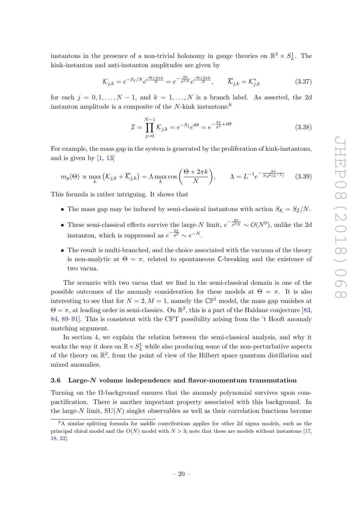instantons in the presence of a non-trivial holonomy in gauge theories on  $\mathbb{R}^3 \times S^1_L$ . The kink-instanton and anti-instanton amplitudes are given by

$$
\mathcal{K}_{j,k} = e^{-S_I/N} e^{i\frac{\Theta + 2\pi k}{N}} = e^{-\frac{4\pi}{g^2 N}} e^{i\frac{\Theta + 2\pi k}{N}}, \qquad \overline{\mathcal{K}}_{j,k} = \mathcal{K}_{j,k}^* \tag{3.37}
$$

for each  $j = 0, 1, ..., N - 1$ , and  $k = 1, ..., N$  is a branch label. As asserted, the 2d instanton amplitude is a composite of the N-kink instantons:<sup>[8](#page-20-1)</sup>

$$
\mathcal{I} = \prod_{j=0}^{N-1} \mathcal{K}_{j,k} = e^{-S_I} e^{i\Theta} = e^{-\frac{4\pi}{g^2} + i\Theta}
$$
\n(3.38)

For example, the mass gap in the system is generated by the proliferation of kink-instantons, and is given by  $[1, 13]$  $[1, 13]$  $[1, 13]$ 

$$
m_g(\Theta) \propto \max_k \left( \mathcal{K}_{j,k} + \overline{\mathcal{K}}_{j,k} \right) = \Lambda \max_k \cos \left( \frac{\Theta + 2\pi k}{N} \right), \qquad \Lambda = L^{-1} e^{-\frac{4\pi}{Ng^2(L^{-1})}} \tag{3.39}
$$

This formula is rather intriguing. It shows that

- The mass gap may be induced by semi-classical instantons with action  $S_{\mathcal{K}} = S_{\mathcal{I}}/N$ .
- These semi-classical effects survive the large-N limit,  $e^{-\frac{4\pi}{g^2N}} \sim O(N^0)$ , unlike the 2d instanton, which is suppressed as  $e^{-\frac{4\pi}{g^2}} \sim e^{-N}$ .
- The result is multi-branched, and the choice associated with the vacuum of the theory is non-analytic at  $\Theta = \pi$ , related to spontaneous C-breaking and the existence of two vacua.

The scenario with two vacua that we find in the semi-classical domain is one of the possible outcomes of the anomaly consideration for these models at  $\Theta = \pi$ . It is also interesting to see that for  $N = 2, M = 1$ , namely the  $\mathbb{CP}^1$  model, the mass gap vanishes at  $\Theta = \pi$ , at leading order in semi-classics. On  $\mathbb{R}^2$ , this is a part of the Haldane conjecture [\[83,](#page-28-6) [84,](#page-28-7) [89](#page-28-11)[–91\]](#page-28-12). This is consistent with the CFT possibility arising from the 't Hooft anomaly matching argument.

In section [4,](#page-22-0) we explain the relation between the semi-classical analysis, and why it works the way it does on  $\mathbb{R} \times S^1_L$  while also producing some of the non-perturbative aspects of the theory on  $\mathbb{R}^2$ , from the point of view of the Hilbert space quantum distillation and mixed anomalies.

# <span id="page-20-0"></span>3.6 Large-N volume independence and flavor-momentum transmutation

Turning on the Ω-background ensures that the anomaly polynomial survives upon compactification. There is another important property associated with this background. In the large- $N$  limit,  $SU(N)$  singlet observables as well as their correlation functions become

<span id="page-20-1"></span><sup>8</sup>A similar splitting formula for saddle contributions applies for other 2d sigma models, such as the principal chiral model and the  $O(N)$  model with  $N > 3$ ; note that these are models without instantons [\[17,](#page-24-4) [18,](#page-24-5) [22\]](#page-25-3).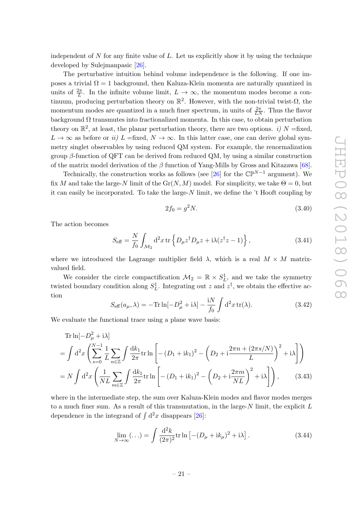independent of  $N$  for any finite value of  $L$ . Let us explicitly show it by using the technique developed by Sulejmanpasic [\[26\]](#page-25-5).

The perturbative intuition behind volume independence is the following. If one imposes a trivial  $\Omega = 1$  background, then Kaluza-Klein momenta are naturally quantized in units of  $\frac{2\pi}{L}$ . In the infinite volume limit,  $L \to \infty$ , the momentum modes become a continuum, producing perturbation theory on  $\mathbb{R}^2$ . However, with the non-trivial twist- $\Omega$ , the momentum modes are quantized in a much finer spectrum, in units of  $\frac{2\pi}{LN}$ . Thus the flavor background  $\Omega$  transmutes into fractionalized momenta. In this case, to obtain perturbation theory on  $\mathbb{R}^2$ , at least, the planar perturbation theory, there are two options. *i)* N =fixed,  $L \to \infty$  as before or ii)  $L =$ fixed,  $N \to \infty$ . In this latter case, one can derive global symmetry singlet observables by using reduced QM system. For example, the renormalization group β-function of QFT can be derived from reduced QM, by using a similar construction of the matrix model derivation of the  $\beta$  function of Yang-Mills by Gross and Kitazawa [\[68\]](#page-27-8).

Technically, the construction works as follows (see [\[26\]](#page-25-5) for the  $\mathbb{CP}^{N-1}$  argument). We fix M and take the large-N limit of the  $\text{Gr}(N, M)$  model. For simplicity, we take  $\Theta = 0$ , but it can easily be incorporated. To take the large- $N$  limit, we define the  $\iota$ t Hooft coupling by

$$
2f_0 = g^2 N. \t\t(3.40)
$$

The action becomes

$$
S_{\text{eff}} = \frac{N}{f_0} \int_{\mathcal{M}_2} d^2 x \, \text{tr} \left\{ D_\mu z^\dagger D_\mu z + i \lambda (z^\dagger z - 1) \right\},\tag{3.41}
$$

where we introduced the Lagrange multiplier field  $\lambda$ , which is a real  $M \times M$  matrixvalued field.

We consider the circle compactification  $\mathcal{M}_2 = \mathbb{R} \times S_L^1$ , and we take the symmetry twisted boundary condition along  $S_L^1$ . Integrating out z and  $z^{\dagger}$ , we obtain the effective action

$$
S_{\text{eff}}(a_{\mu}, \lambda) = -\text{Tr}\ln[-D_{\mu}^{2} + i\lambda] - \frac{iN}{f_{0}} \int d^{2}x \operatorname{tr}(\lambda). \qquad (3.42)
$$

We evaluate the functional trace using a plane wave basis:

Tr 
$$
\ln[-D_{\mu}^{2} + i\lambda]
$$
  
\n
$$
= \int d^{2}x \left( \sum_{s=0}^{N-1} \frac{1}{L} \sum_{n \in \mathbb{Z}} \int \frac{dk_{1}}{2\pi} \text{tr} \ln \left[ - (D_{1} + ik_{1})^{2} - \left( D_{2} + i \frac{2\pi n + (2\pi s/N)}{L} \right)^{2} + i\lambda \right] \right)
$$
\n
$$
= N \int d^{2}x \left( \frac{1}{NL} \sum_{m \in \mathbb{Z}} \int \frac{dk_{1}}{2\pi} \text{tr} \ln \left[ - (D_{1} + ik_{1})^{2} - \left( D_{2} + i \frac{2\pi m}{NL} \right)^{2} + i\lambda \right] \right), \qquad (3.43)
$$

where in the intermediate step, the sum over Kaluza-Klein modes and flavor modes merges to a much finer sum. As a result of this transmutation, in the large- $N$  limit, the explicit  $L$ dependence in the integrand of  $\int d^2x$  disappears [\[26\]](#page-25-5):

$$
\lim_{N \to \infty} (\ldots) = \int \frac{\mathrm{d}^2 k}{(2\pi)^2} \mathrm{tr} \ln \left[ - (D_\mu + i k_\mu)^2 + i \lambda \right]. \tag{3.44}
$$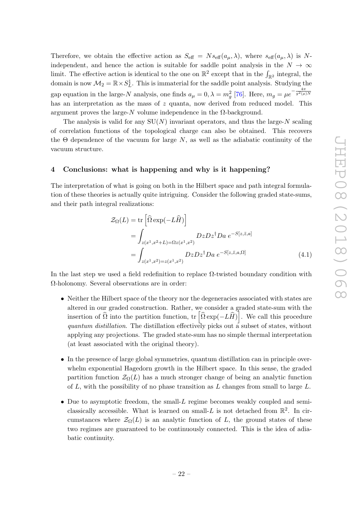Therefore, we obtain the effective action as  $S_{\text{eff}} = N s_{\text{eff}}(a_{\mu}, \lambda)$ , where  $s_{\text{eff}}(a_{\mu}, \lambda)$  is Nindependent, and hence the action is suitable for saddle point analysis in the  $N \to \infty$ limit. The effective action is identical to the one on  $\mathbb{R}^2$  except that in the  $\int_{\mathbb{R}^2}$  integral, the domain is now  $\mathcal{M}_2 = \mathbb{R} \times S^1_L$ . This is immaterial for the saddle point analysis. Studying the gap equation in the large-N analysis, one finds  $a_{\mu} = 0, \lambda = m_g^2$  [\[76\]](#page-27-15). Here,  $m_g = \mu e^{-\frac{4\pi}{g^2(\mu)}N}$ has an interpretation as the mass of  $z$  quanta, now derived from reduced model. This argument proves the large-N volume independence in the  $\Omega$ -background.

The analysis is valid for any  $SU(N)$  invariant operators, and thus the large-N scaling of correlation functions of the topological charge can also be obtained. This recovers the  $\Theta$  dependence of the vacuum for large N, as well as the adiabatic continuity of the vacuum structure.

## <span id="page-22-0"></span>4 Conclusions: what is happening and why is it happening?

The interpretation of what is going on both in the Hilbert space and path integral formulation of these theories is actually quite intriguing. Consider the following graded state-sums, and their path integral realizations:

$$
\mathcal{Z}_{\Omega}(L) = \text{tr}\left[\widehat{\Omega} \exp(-L\widehat{H})\right]
$$

$$
= \int_{z(x^1, x^2 + L) = \Omega z(x^1, x^2)} Dz Dz^{\dagger} D a e^{-S[z, \overline{z}, a]}
$$

$$
= \int_{z(x^1, x^2) = z(x^1, x^2)} Dz Dz^{\dagger} D a e^{-S[z, \overline{z}, a, \Omega]}
$$
(4.1)

In the last step we used a field redefinition to replace  $\Omega$ -twisted boundary condition with Ω-holonomy. Several observations are in order:

- Neither the Hilbert space of the theory nor the degeneracies associated with states are altered in our graded construction. Rather, we consider a graded state-sum with the insertion of  $\widehat{\Omega}$  into the partition function, tr  $\left[ \widehat{\Omega} \exp(-L\widehat{H}) \right]$ . We call this procedure quantum distillation. The distillation effectively picks out a subset of states, without applying any projections. The graded state-sum has no simple thermal interpretation (at least associated with the original theory).
- In the presence of large global symmetries, quantum distillation can in principle overwhelm exponential Hagedorn growth in the Hilbert space. In this sense, the graded partition function  $\mathcal{Z}_{\Omega}(L)$  has a much stronger change of being an analytic function of  $L$ , with the possibility of no phase transition as  $L$  changes from small to large  $L$ .
- Due to asymptotic freedom, the small-L regime becomes weakly coupled and semiclassically accessible. What is learned on small-L is not detached from  $\mathbb{R}^2$ . In circumstances where  $\mathcal{Z}_{\Omega}(L)$  is an analytic function of L, the ground states of these two regimes are guaranteed to be continuously connected. This is the idea of adiabatic continuity.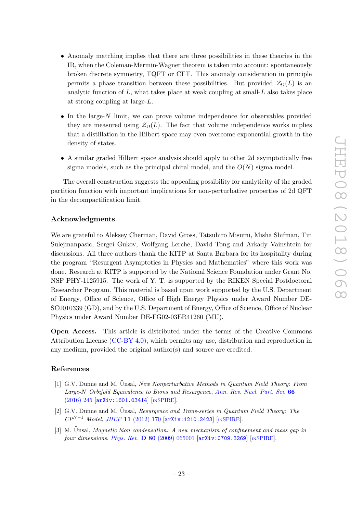- Anomaly matching implies that there are three possibilities in these theories in the IR, when the Coleman-Mermin-Wagner theorem is taken into account: spontaneously broken discrete symmetry, TQFT or CFT. This anomaly consideration in principle permits a phase transition between these possibilities. But provided  $\mathcal{Z}_{\Omega}(L)$  is an analytic function of  $L$ , what takes place at weak coupling at small- $L$  also takes place at strong coupling at large-L.
- In the large-N limit, we can prove volume independence for observables provided they are measured using  $\mathcal{Z}_{\Omega}(L)$ . The fact that volume independence works implies that a distillation in the Hilbert space may even overcome exponential growth in the density of states.
- A similar graded Hilbert space analysis should apply to other 2d asymptotically free sigma models, such as the principal chiral model, and the  $O(N)$  sigma model.

The overall construction suggests the appealing possibility for analyticity of the graded partition function with important implications for non-perturbative properties of 2d QFT in the decompactification limit.

# Acknowledgments

We are grateful to Aleksey Cherman, David Gross, Tatsuhiro Misumi, Misha Shifman, Tin Sulejmanpasic, Sergei Gukov, Wolfgang Lerche, David Tong and Arkady Vainshtein for discussions. All three authors thank the KITP at Santa Barbara for its hospitality during the program "Resurgent Asymptotics in Physics and Mathematics" where this work was done. Research at KITP is supported by the National Science Foundation under Grant No. NSF PHY-1125915. The work of Y. T. is supported by the RIKEN Special Postdoctoral Researcher Program. This material is based upon work supported by the U.S. Department of Energy, Office of Science, Office of High Energy Physics under Award Number DE-SC0010339 (GD), and by the U.S. Department of Energy, Office of Science, Office of Nuclear Physics under Award Number DE-FG02-03ER41260 (MU).

Open Access. This article is distributed under the terms of the Creative Commons Attribution License [\(CC-BY 4.0\)](https://creativecommons.org/licenses/by/4.0/), which permits any use, distribution and reproduction in any medium, provided the original author(s) and source are credited.

# References

- <span id="page-23-0"></span>[1] G.V. Dunne and M. Ünsal, New Nonperturbative Methods in Quantum Field Theory: From Large-N Orbifold Equivalence to Bions and Resurgence, [Ann. Rev. Nucl. Part. Sci.](https://doi.org/10.1146/annurev-nucl-102115-044755) 66 [\(2016\) 245](https://doi.org/10.1146/annurev-nucl-102115-044755) [[arXiv:1601.03414](https://arxiv.org/abs/1601.03414)] [IN[SPIRE](https://inspirehep.net/search?p=find+EPRINT+arXiv:1601.03414)].
- <span id="page-23-1"></span>[2] G.V. Dunne and M. Ünsal, Resurgence and Trans-series in Quantum Field Theory: The  $CP^{N-1}$  Model, JHEP 11 [\(2012\) 170](https://doi.org/10.1007/JHEP11(2012)170) [[arXiv:1210.2423](https://arxiv.org/abs/1210.2423)] [IN[SPIRE](https://inspirehep.net/search?p=find+EPRINT+arXiv:1210.2423)].
- <span id="page-23-2"></span>[3] M. Unsal, Magnetic bion condensation: A new mechanism of confinement and mass gap in four dimensions, Phys. Rev.  $\bf{D}$  80 [\(2009\) 065001](https://doi.org/10.1103/PhysRevD.80.065001) [[arXiv:0709.3269](https://arxiv.org/abs/0709.3269)] [IN[SPIRE](https://inspirehep.net/search?p=find+EPRINT+arXiv:0709.3269)].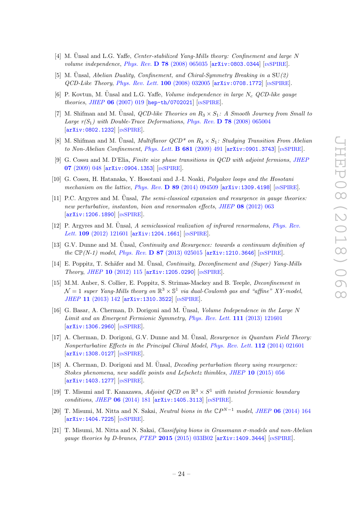- <span id="page-24-0"></span>[4] M. Unsal and L.G. Yaffe, Center-stabilized Yang-Mills theory: Confinement and large N volume independence, Phys. Rev. D 78 [\(2008\) 065035](https://doi.org/10.1103/PhysRevD.78.065035)  $arXiv:0803.0344$  [IN[SPIRE](https://inspirehep.net/search?p=find+EPRINT+arXiv:0803.0344)].
- <span id="page-24-1"></span>[5] M. Unsal, Abelian Duality, Confinement, and Chiral-Symmetry Breaking in a  $SU(2)$ QCD-Like Theory, [Phys. Rev. Lett.](https://doi.org/10.1103/PhysRevLett.100.032005) 100 (2008) 032005 [[arXiv:0708.1772](https://arxiv.org/abs/0708.1772)] [IN[SPIRE](https://inspirehep.net/search?p=find+EPRINT+arXiv:0708.1772)].
- [6] P. Kovtun, M. Unsal and L.G. Yaffe, Volume independence in large  $N_c$  QCD-like gauge theories, JHEP 06 [\(2007\) 019](https://doi.org/10.1088/1126-6708/2007/06/019) [[hep-th/0702021](https://arxiv.org/abs/hep-th/0702021)] [IN[SPIRE](https://inspirehep.net/search?p=find+EPRINT+hep-th/0702021)].
- [7] M. Shifman and M. Unsal, *QCD-like Theories on*  $R_3 \times S_1$ : A Smooth Journey from Small to Large  $r(S_1)$  with Double-Trace Deformations, Phys. Rev. D 78 [\(2008\) 065004](https://doi.org/10.1103/PhysRevD.78.065004) [[arXiv:0802.1232](https://arxiv.org/abs/0802.1232)] [IN[SPIRE](https://inspirehep.net/search?p=find+EPRINT+arXiv:0802.1232)].
- <span id="page-24-6"></span>[8] M. Shifman and M. Unsal, *Multiflavor QCD<sup>\*</sup> on R<sub>3</sub> × S<sub>1</sub>: Studying Transition From Abelian* to Non-Abelian Confinement, [Phys. Lett.](https://doi.org/10.1016/j.physletb.2009.10.060) **B 681** (2009) 491 [[arXiv:0901.3743](https://arxiv.org/abs/0901.3743)] [IN[SPIRE](https://inspirehep.net/search?p=find+EPRINT+arXiv:0901.3743)].
- [9] G. Cossu and M. D'Elia, Finite size phase transitions in QCD with adjoint fermions, [JHEP](https://doi.org/10.1088/1126-6708/2009/07/048) 07 [\(2009\) 048](https://doi.org/10.1088/1126-6708/2009/07/048) [[arXiv:0904.1353](https://arxiv.org/abs/0904.1353)] [IN[SPIRE](https://inspirehep.net/search?p=find+EPRINT+arXiv:0904.1353)].
- [10] G. Cossu, H. Hatanaka, Y. Hosotani and J.-I. Noaki, Polyakov loops and the Hosotani mechanism on the lattice, Phys. Rev.  $\bf{D}$  89 [\(2014\) 094509](https://doi.org/10.1103/PhysRevD.89.094509) [[arXiv:1309.4198](https://arxiv.org/abs/1309.4198)] [IN[SPIRE](https://inspirehep.net/search?p=find+EPRINT+arXiv:1309.4198)].
- [11] P.C. Argyres and M. Unsal, *The semi-classical expansion and resurgence in gauge theories:* new perturbative, instanton, bion and renormalon effects, JHEP 08 [\(2012\) 063](https://doi.org/10.1007/JHEP08(2012)063) [[arXiv:1206.1890](https://arxiv.org/abs/1206.1890)] [IN[SPIRE](https://inspirehep.net/search?p=find+EPRINT+arXiv:1206.1890)].
- $[12]$  P. Argyres and M. Unsal, A semiclassical realization of infrared renormalons, [Phys. Rev.](https://doi.org/10.1103/PhysRevLett.109.121601) Lett. 109 [\(2012\) 121601](https://doi.org/10.1103/PhysRevLett.109.121601) [[arXiv:1204.1661](https://arxiv.org/abs/1204.1661)] [IN[SPIRE](https://inspirehep.net/search?p=find+EPRINT+arXiv:1204.1661)].
- <span id="page-24-2"></span>[13] G.V. Dunne and M. Unsal, *Continuity and Resurgence: towards a continuum definition of* the  $\mathbb{CP}(N-1)$  model, Phys. Rev. D 87 [\(2013\) 025015](https://doi.org/10.1103/PhysRevD.87.025015) [[arXiv:1210.3646](https://arxiv.org/abs/1210.3646)] [IN[SPIRE](https://inspirehep.net/search?p=find+EPRINT+arXiv:1210.3646)].
- [14] E. Poppitz, T. Schäfer and M. Ünsal, *Continuity, Deconfinement and (Super) Yang-Mills* Theory, JHEP 10 [\(2012\) 115](https://doi.org/10.1007/JHEP10(2012)115) [[arXiv:1205.0290](https://arxiv.org/abs/1205.0290)] [IN[SPIRE](https://inspirehep.net/search?p=find+EPRINT+arXiv:1205.0290)].
- [15] M.M. Anber, S. Collier, E. Poppitz, S. Strimas-Mackey and B. Teeple, Deconfinement in  $\mathcal{N}=1$  super Yang-Mills theory on  $\mathbb{R}^3\times\mathbb{S}^1$  via dual-Coulomb gas and "affine" XY-model, JHEP 11 [\(2013\) 142](https://doi.org/10.1007/JHEP11(2013)142) [[arXiv:1310.3522](https://arxiv.org/abs/1310.3522)] [IN[SPIRE](https://inspirehep.net/search?p=find+EPRINT+arXiv:1310.3522)].
- <span id="page-24-7"></span>[16] G. Basar, A. Cherman, D. Dorigoni and M. Unsal, *Volume Independence in the Large N* Limit and an Emergent Fermionic Symmetry, [Phys. Rev. Lett.](https://doi.org/10.1103/PhysRevLett.111.121601) 111 (2013) 121601 [[arXiv:1306.2960](https://arxiv.org/abs/1306.2960)] [IN[SPIRE](https://inspirehep.net/search?p=find+EPRINT+arXiv:1306.2960)].
- <span id="page-24-4"></span>[17] A. Cherman, D. Dorigoni, G.V. Dunne and M. Unsal, Resurgence in Quantum Field Theory: Nonperturbative Effects in the Principal Chiral Model, [Phys. Rev. Lett.](https://doi.org/10.1103/PhysRevLett.112.021601) 112 (2014) 021601 [[arXiv:1308.0127](https://arxiv.org/abs/1308.0127)] [IN[SPIRE](https://inspirehep.net/search?p=find+EPRINT+arXiv:1308.0127)].
- <span id="page-24-5"></span>[18] A. Cherman, D. Dorigoni and M. Unsal, *Decoding perturbation theory using resurgence*: Stokes phenomena, new saddle points and Lefschetz thimbles, JHEP 10 [\(2015\) 056](https://doi.org/10.1007/JHEP10(2015)056) [[arXiv:1403.1277](https://arxiv.org/abs/1403.1277)] [IN[SPIRE](https://inspirehep.net/search?p=find+EPRINT+arXiv:1403.1277)].
- [19] T. Misumi and T. Kanazawa, Adjoint QCD on  $\mathbb{R}^3 \times S^1$  with twisted fermionic boundary conditions, JHEP 06 [\(2014\) 181](https://doi.org/10.1007/JHEP06(2014)181) [[arXiv:1405.3113](https://arxiv.org/abs/1405.3113)] [IN[SPIRE](https://inspirehep.net/search?p=find+EPRINT+arXiv:1405.3113)].
- <span id="page-24-3"></span>[20] T. Misumi, M. Nitta and N. Sakai, Neutral bions in the  $\mathbb{C}P^{N-1}$  model, JHEP 06 [\(2014\) 164](https://doi.org/10.1007/JHEP06(2014)164) [[arXiv:1404.7225](https://arxiv.org/abs/1404.7225)] [IN[SPIRE](https://inspirehep.net/search?p=find+EPRINT+arXiv:1404.7225)].
- [21] T. Misumi, M. Nitta and N. Sakai, Classifying bions in Grassmann σ-models and non-Abelian gauge theories by D-branes, PTEP 2015 [\(2015\) 033B02](https://doi.org/10.1093/ptep/ptv009) [[arXiv:1409.3444](https://arxiv.org/abs/1409.3444)] [IN[SPIRE](https://inspirehep.net/search?p=find+EPRINT+arXiv:1409.3444)].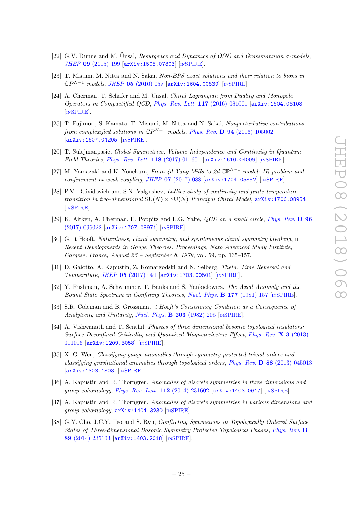- <span id="page-25-3"></span>[22] G.V. Dunne and M. Unsal, Resurgence and Dynamics of  $O(N)$  and Grassmannian  $\sigma$ -models, JHEP 09 [\(2015\) 199](https://doi.org/10.1007/JHEP09(2015)199) [[arXiv:1505.07803](https://arxiv.org/abs/1505.07803)] [IN[SPIRE](https://inspirehep.net/search?p=find+EPRINT+arXiv:1505.07803)].
- [23] T. Misumi, M. Nitta and N. Sakai, Non-BPS exact solutions and their relation to bions in  $\mathbb{C}P^{N-1}$  models, JHEP 05 [\(2016\) 057](https://doi.org/10.1007/JHEP05(2016)057) [[arXiv:1604.00839](https://arxiv.org/abs/1604.00839)] [IN[SPIRE](https://inspirehep.net/search?p=find+EPRINT+arXiv:1604.00839)].
- [24] A. Cherman, T. Schäfer and M. Unsal, *Chiral Lagrangian from Duality and Monopole* Operators in Compactified QCD, [Phys. Rev. Lett.](https://doi.org/10.1103/PhysRevLett.117.081601) 117 (2016) 081601 [[arXiv:1604.06108](https://arxiv.org/abs/1604.06108)] [IN[SPIRE](https://inspirehep.net/search?p=find+EPRINT+arXiv:1604.06108)].
- [25] T. Fujimori, S. Kamata, T. Misumi, M. Nitta and N. Sakai, Nonperturbative contributions from complexified solutions in  $\mathbb{C}P^{N-1}$  models, Phys. Rev. D 94 [\(2016\) 105002](https://doi.org/10.1103/PhysRevD.94.105002) [[arXiv:1607.04205](https://arxiv.org/abs/1607.04205)] [IN[SPIRE](https://inspirehep.net/search?p=find+EPRINT+arXiv:1607.04205)].
- <span id="page-25-5"></span>[26] T. Sulejmanpasic, Global Symmetries, Volume Independence and Continuity in Quantum Field Theories, [Phys. Rev. Lett.](https://doi.org/10.1103/PhysRevLett.118.011601) 118 (2017) 011601  $arXiv:1610.04009$  [IN[SPIRE](https://inspirehep.net/search?p=find+EPRINT+arXiv:1610.04009)].
- [27] M. Yamazaki and K. Yonekura, From 4d Yang-Mills to 2d  $\mathbb{CP}^{N-1}$  model: IR problem and confinement at weak coupling, JHEP  $07$  [\(2017\) 088](https://doi.org/10.1007/JHEP07(2017)088)  $\left[$ [arXiv:1704.05852](https://arxiv.org/abs/1704.05852) $\right]$   $\left[$ IN[SPIRE](https://inspirehep.net/search?p=find+EPRINT+arXiv:1704.05852) $\right]$ .
- <span id="page-25-4"></span>[28] P.V. Buividovich and S.N. Valgushev, Lattice study of continuity and finite-temperature transition in two-dimensional  $SU(N) \times SU(N)$  Principal Chiral Model,  $arXiv:1706.08954$ [IN[SPIRE](https://inspirehep.net/search?p=find+EPRINT+arXiv:1706.08954)].
- <span id="page-25-0"></span>[29] K. Aitken, A. Cherman, E. Poppitz and L.G. Yaffe, *OCD on a small circle, [Phys. Rev.](https://doi.org/10.1103/PhysRevD.96.096022)* D 96 [\(2017\) 096022](https://doi.org/10.1103/PhysRevD.96.096022) [[arXiv:1707.08971](https://arxiv.org/abs/1707.08971)] [IN[SPIRE](https://inspirehep.net/search?p=find+EPRINT+arXiv:1707.08971)].
- <span id="page-25-1"></span>[30] G. 't Hooft, Naturalness, chiral symmetry, and spontaneous chiral symmetry breaking, in Recent Developments in Gauge Theories. Proceedings, Nato Advanced Study Institute, Cargese, France, August 26 – September 8, 1979, vol. 59, pp. 135–157.
- <span id="page-25-2"></span>[31] D. Gaiotto, A. Kapustin, Z. Komargodski and N. Seiberg, Theta, Time Reversal and Temperature, JHEP 05 [\(2017\) 091](https://doi.org/10.1007/JHEP05(2017)091) [[arXiv:1703.00501](https://arxiv.org/abs/1703.00501)] [IN[SPIRE](https://inspirehep.net/search?p=find+EPRINT+arXiv:1703.00501)].
- [32] Y. Frishman, A. Schwimmer, T. Banks and S. Yankielowicz, The Axial Anomaly and the Bound State Spectrum in Confining Theories, [Nucl. Phys.](https://doi.org/10.1016/0550-3213(81)90268-6) B 177 (1981) 157 [IN[SPIRE](https://inspirehep.net/search?p=find+J+%22Nucl.Phys.,B177,157%22)].
- [33] S.R. Coleman and B. Grossman, 't Hooft's Consistency Condition as a Consequence of Analyticity and Unitarity, [Nucl. Phys.](https://doi.org/10.1016/0550-3213(82)90028-1)  $\bf{B}$  203 (1982) 205 [IN[SPIRE](https://inspirehep.net/search?p=find+J+%22Nucl.Phys.,B203,205%22)].
- [34] A. Vishwanath and T. Senthil, *Physics of three dimensional bosonic topological insulators:* Surface Deconfined Criticality and Quantized Magnetoelectric Effect, [Phys. Rev.](https://doi.org/10.1103/PhysRevX.3.011016) X 3 (2013) [011016](https://doi.org/10.1103/PhysRevX.3.011016) [[arXiv:1209.3058](https://arxiv.org/abs/1209.3058)] [IN[SPIRE](https://inspirehep.net/search?p=find+EPRINT+arXiv:1209.3058)].
- [35] X.-G. Wen, Classifying gauge anomalies through symmetry-protected trivial orders and classifying gravitational anomalies through topological orders, Phys. Rev. D 88 [\(2013\) 045013](https://doi.org/10.1103/PhysRevD.88.045013) [[arXiv:1303.1803](https://arxiv.org/abs/1303.1803)] [IN[SPIRE](https://inspirehep.net/search?p=find+EPRINT+arXiv:1303.1803)].
- [36] A. Kapustin and R. Thorngren, Anomalies of discrete symmetries in three dimensions and group cohomology, [Phys. Rev. Lett.](https://doi.org/10.1103/PhysRevLett.112.231602) 112 (2014) 231602 [[arXiv:1403.0617](https://arxiv.org/abs/1403.0617)] [IN[SPIRE](https://inspirehep.net/search?p=find+EPRINT+arXiv:1403.0617)].
- [37] A. Kapustin and R. Thorngren, Anomalies of discrete symmetries in various dimensions and group cohomology, [arXiv:1404.3230](https://arxiv.org/abs/1404.3230) [IN[SPIRE](https://inspirehep.net/search?p=find+EPRINT+arXiv:1404.3230)].
- [38] G.Y. Cho, J.C.Y. Teo and S. Ryu, *Conflicting Symmetries in Topologically Ordered Surface* States of Three-dimensional Bosonic Symmetry Protected Topological Phases, [Phys. Rev.](https://doi.org/10.1103/PhysRevB.89.235103) B 89 [\(2014\) 235103](https://doi.org/10.1103/PhysRevB.89.235103) [[arXiv:1403.2018](https://arxiv.org/abs/1403.2018)] [IN[SPIRE](https://inspirehep.net/search?p=find+EPRINT+arXiv:1403.2018)].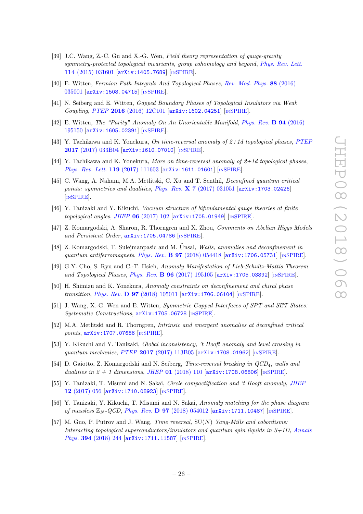- [39] J.C. Wang, Z.-C. Gu and X.-G. Wen, Field theory representation of gauge-gravity symmetry-protected topological invariants, group cohomology and beyond, [Phys. Rev. Lett.](https://doi.org/10.1103/PhysRevLett.114.031601) 114 [\(2015\) 031601](https://doi.org/10.1103/PhysRevLett.114.031601) [[arXiv:1405.7689](https://arxiv.org/abs/1405.7689)] [IN[SPIRE](https://inspirehep.net/search?p=find+EPRINT+arXiv:1405.7689)].
- [40] E. Witten, Fermion Path Integrals And Topological Phases, [Rev. Mod. Phys.](https://doi.org/10.1103/RevModPhys.88.035001) 88 (2016) [035001](https://doi.org/10.1103/RevModPhys.88.035001) [[arXiv:1508.04715](https://arxiv.org/abs/1508.04715)] [IN[SPIRE](https://inspirehep.net/search?p=find+EPRINT+arXiv:1508.04715)].
- [41] N. Seiberg and E. Witten, Gapped Boundary Phases of Topological Insulators via Weak Coupling, PTEP 2016 [\(2016\) 12C101](https://doi.org/10.1093/ptep/ptw083) [[arXiv:1602.04251](https://arxiv.org/abs/1602.04251)] [IN[SPIRE](https://inspirehep.net/search?p=find+EPRINT+arXiv:1602.04251)].
- [42] E. Witten, The "Parity" Anomaly On An Unorientable Manifold, [Phys. Rev.](https://doi.org/10.1103/PhysRevB.94.195150) B 94 (2016) [195150](https://doi.org/10.1103/PhysRevB.94.195150) [[arXiv:1605.02391](https://arxiv.org/abs/1605.02391)] [IN[SPIRE](https://inspirehep.net/search?p=find+EPRINT+arXiv:1605.02391)].
- [43] Y. Tachikawa and K. Yonekura, On time-reversal anomaly of  $2+1d$  topological phases, [PTEP](https://doi.org/10.1093/ptep/ptx010) 2017 [\(2017\) 033B04](https://doi.org/10.1093/ptep/ptx010) [[arXiv:1610.07010](https://arxiv.org/abs/1610.07010)] [IN[SPIRE](https://inspirehep.net/search?p=find+EPRINT+arXiv:1610.07010)].
- [44] Y. Tachikawa and K. Yonekura, More on time-reversal anomaly of  $2+1d$  topological phases, [Phys. Rev. Lett.](https://doi.org/10.1103/PhysRevLett.119.111603) 119 (2017) 111603 [[arXiv:1611.01601](https://arxiv.org/abs/1611.01601)] [IN[SPIRE](https://inspirehep.net/search?p=find+EPRINT+arXiv:1611.01601)].
- [45] C. Wang, A. Nahum, M.A. Metlitski, C. Xu and T. Senthil, Deconfined quantum critical points: symmetries and dualities, Phys. Rev.  $X 7 (2017) 031051$  $X 7 (2017) 031051$  [[arXiv:1703.02426](https://arxiv.org/abs/1703.02426)] [IN[SPIRE](https://inspirehep.net/search?p=find+EPRINT+arXiv:1703.02426)].
- <span id="page-26-4"></span>[46] Y. Tanizaki and Y. Kikuchi, Vacuum structure of bifundamental gauge theories at finite topological angles, JHEP  $06$  [\(2017\) 102](https://doi.org/10.1007/JHEP06(2017)102)  $\text{arXiv:1705.01949}$  $\text{arXiv:1705.01949}$  $\text{arXiv:1705.01949}$  [IN[SPIRE](https://inspirehep.net/search?p=find+EPRINT+arXiv:1705.01949)].
- [47] Z. Komargodski, A. Sharon, R. Thorngren and X. Zhou, Comments on Abelian Higgs Models and Persistent Order, [arXiv:1705.04786](https://arxiv.org/abs/1705.04786) [IN[SPIRE](https://inspirehep.net/search?p=find+EPRINT+arXiv:1705.04786)].
- [48] Z. Komargodski, T. Sulejmanpasic and M. Ünsal, Walls, anomalies and deconfinement in quantum antiferromagnets, Phys. Rev.  $\bf{B}$  97 [\(2018\) 054418](https://doi.org/10.1103/PhysRevB.97.054418)  $\bf{arXiv:1706.05731}$  $\bf{arXiv:1706.05731}$  $\bf{arXiv:1706.05731}$  [IN[SPIRE](https://inspirehep.net/search?p=find+EPRINT+arXiv:1706.05731)].
- [49] G.Y. Cho, S. Ryu and C.-T. Hsieh, Anomaly Manifestation of Lieb-Schultz-Mattis Theorem and Topological Phases, Phys. Rev. B 96 [\(2017\) 195105](https://doi.org/10.1103/PhysRevB.96.195105) [[arXiv:1705.03892](https://arxiv.org/abs/1705.03892)] [IN[SPIRE](https://inspirehep.net/search?p=find+EPRINT+arXiv:1705.03892)].
- [50] H. Shimizu and K. Yonekura, Anomaly constraints on deconfinement and chiral phase transition, *Phys. Rev.* **D 97** [\(2018\) 105011](https://doi.org/10.1103/PhysRevD.97.105011) [[arXiv:1706.06104](https://arxiv.org/abs/1706.06104)] [IN[SPIRE](https://inspirehep.net/search?p=find+EPRINT+arXiv:1706.06104)].
- [51] J. Wang, X.-G. Wen and E. Witten, Symmetric Gapped Interfaces of SPT and SET States: Systematic Constructions, [arXiv:1705.06728](https://arxiv.org/abs/1705.06728) [IN[SPIRE](https://inspirehep.net/search?p=find+EPRINT+arXiv:1705.06728)].
- <span id="page-26-3"></span>[52] M.A. Metlitski and R. Thorngren, Intrinsic and emergent anomalies at deconfined critical points, [arXiv:1707.07686](https://arxiv.org/abs/1707.07686) [IN[SPIRE](https://inspirehep.net/search?p=find+EPRINT+arXiv:1707.07686)].
- <span id="page-26-5"></span>[53] Y. Kikuchi and Y. Tanizaki, *Global inconsistency, 't Hooft anomaly and level crossing in* quantum mechanics, PTEP 2017 [\(2017\) 113B05](https://doi.org/10.1093/ptep/ptx148) [[arXiv:1708.01962](https://arxiv.org/abs/1708.01962)] [IN[SPIRE](https://inspirehep.net/search?p=find+EPRINT+arXiv:1708.01962)].
- [54] D. Gaiotto, Z. Komargodski and N. Seiberg, *Time-reversal breaking in QCD*<sub>4</sub>, walls and dualities in  $2 + 1$  dimensions, JHEP 01 [\(2018\) 110](https://doi.org/10.1007/JHEP01(2018)110)  $\text{arXiv:1708.06806}$  $\text{arXiv:1708.06806}$  $\text{arXiv:1708.06806}$  [IN[SPIRE](https://inspirehep.net/search?p=find+EPRINT+arXiv:1708.06806)].
- <span id="page-26-1"></span>[55] Y. Tanizaki, T. Misumi and N. Sakai, Circle compactification and 't Hooft anomaly, [JHEP](https://doi.org/10.1007/JHEP12(2017)056) 12 [\(2017\) 056](https://doi.org/10.1007/JHEP12(2017)056) [[arXiv:1710.08923](https://arxiv.org/abs/1710.08923)] [IN[SPIRE](https://inspirehep.net/search?p=find+EPRINT+arXiv:1710.08923)].
- <span id="page-26-2"></span>[56] Y. Tanizaki, Y. Kikuchi, T. Misumi and N. Sakai, Anomaly matching for the phase diagram of massless  $\mathbb{Z}_N$ -QCD, Phys. Rev. **D 97** [\(2018\) 054012](https://doi.org/10.1103/PhysRevD.97.054012)  $\left[\text{arXiv}:1711.10487\right]$   $\left[\text{nsPIRE}\right]$ .
- <span id="page-26-0"></span>[57] M. Guo, P. Putrov and J. Wang, *Time reversal*,  $SU(N)$  *Yang-Mills and cobordisms:* Interacting topological superconductors/insulators and quantum spin liquids in 3+1D, [Annals](https://doi.org/10.1016/j.aop.2018.04.025) Phys. 394 [\(2018\) 244](https://doi.org/10.1016/j.aop.2018.04.025) [[arXiv:1711.11587](https://arxiv.org/abs/1711.11587)] [IN[SPIRE](https://inspirehep.net/search?p=find+EPRINT+arXiv:1711.11587)].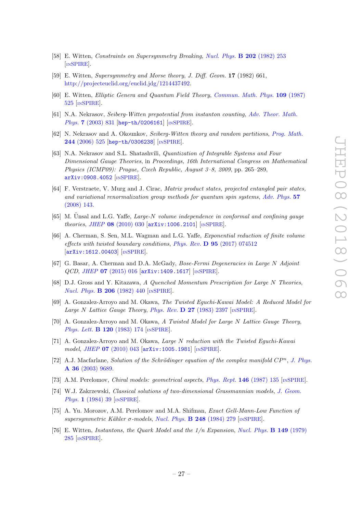- <span id="page-27-0"></span>[58] E. Witten, Constraints on Supersymmetry Breaking, [Nucl. Phys.](https://doi.org/10.1016/0550-3213(82)90071-2) B 202 (1982) 253 [IN[SPIRE](https://inspirehep.net/search?p=find+J+%22Nucl.Phys.,B202,253%22)].
- <span id="page-27-16"></span>[59] E. Witten, Supersymmetry and Morse theory, J. Diff. Geom. 17 (1982) 661, [http://projecteuclid.org/euclid.jdg/1214437492.](http://projecteuclid.org/euclid.jdg/1214437492)
- <span id="page-27-1"></span>[60] E. Witten, Elliptic Genera and Quantum Field Theory, [Commun. Math. Phys.](https://doi.org/10.1007/BF01208956) 109 (1987) [525](https://doi.org/10.1007/BF01208956) [IN[SPIRE](https://inspirehep.net/search?p=find+J+%22Comm.Math.Phys.,109,525%22)].
- <span id="page-27-2"></span>[61] N.A. Nekrasov, Seiberg-Witten prepotential from instanton counting, [Adv. Theor. Math.](https://doi.org/10.4310/ATMP.2003.v7.n5.a4) Phys. 7 [\(2003\) 831](https://doi.org/10.4310/ATMP.2003.v7.n5.a4) [[hep-th/0206161](https://arxiv.org/abs/hep-th/0206161)] [IN[SPIRE](https://inspirehep.net/search?p=find+EPRINT+hep-th/0206161)].
- [62] N. Nekrasov and A. Okounkov, Seiberg-Witten theory and random partitions, [Prog. Math.](https://doi.org/10.1007/0-8176-4467-9_15) 244 [\(2006\) 525](https://doi.org/10.1007/0-8176-4467-9_15) [[hep-th/0306238](https://arxiv.org/abs/hep-th/0306238)] [IN[SPIRE](https://inspirehep.net/search?p=find+EPRINT+hep-th/0306238)].
- <span id="page-27-3"></span>[63] N.A. Nekrasov and S.L. Shatashvili, Quantization of Integrable Systems and Four Dimensional Gauge Theories, in Proceedings, 16th International Congress on Mathematical Physics (ICMP09): Prague, Czech Republic, August 3–8, 2009, pp. 265–289, [arXiv:0908.4052](https://arxiv.org/abs/0908.4052) [IN[SPIRE](https://inspirehep.net/search?p=find+EPRINT+arXiv:0908.4052)].
- <span id="page-27-4"></span>[64] F. Verstraete, V. Murg and J. Cirac, Matrix product states, projected entangled pair states, and variational renormalization group methods for quantum spin systems, [Adv. Phys.](https://doi.org/10.1080/14789940801912366) 57 [\(2008\) 143.](https://doi.org/10.1080/14789940801912366)
- <span id="page-27-5"></span>[65] M. Unsal and L.G. Yaffe, Large-N volume independence in conformal and confining gauge theories, JHEP 08 [\(2010\) 030](https://doi.org/10.1007/JHEP08(2010)030) [[arXiv:1006.2101](https://arxiv.org/abs/1006.2101)] [IN[SPIRE](https://inspirehep.net/search?p=find+EPRINT+arXiv:1006.2101)].
- <span id="page-27-6"></span>[66] A. Cherman, S. Sen, M.L. Wagman and L.G. Yaffe, Exponential reduction of finite volume effects with twisted boundary conditions, Phys. Rev. D 95 [\(2017\) 074512](https://doi.org/10.1103/PhysRevD.95.074512) [[arXiv:1612.00403](https://arxiv.org/abs/1612.00403)] [IN[SPIRE](https://inspirehep.net/search?p=find+EPRINT+arXiv:1612.00403)].
- <span id="page-27-7"></span>[67] G. Basar, A. Cherman and D.A. McGady, Bose-Fermi Degeneracies in Large N Adjoint QCD, JHEP 07 [\(2015\) 016](https://doi.org/10.1007/JHEP07(2015)016) [[arXiv:1409.1617](https://arxiv.org/abs/1409.1617)] [IN[SPIRE](https://inspirehep.net/search?p=find+EPRINT+arXiv:1409.1617)].
- <span id="page-27-8"></span>[68] D.J. Gross and Y. Kitazawa, A Quenched Momentum Prescription for Large N Theories, [Nucl. Phys.](https://doi.org/10.1016/0550-3213(82)90278-4) B 206 (1982) 440 [IN[SPIRE](https://inspirehep.net/search?p=find+J+%22Nucl.Phys.,B206,440%22)].
- <span id="page-27-9"></span>[69] A. Gonzalez-Arroyo and M. Okawa, The Twisted Eguchi-Kawai Model: A Reduced Model for Large N Lattice Gauge Theory, Phys. Rev.  $D$  27 [\(1983\) 2397](https://doi.org/10.1103/PhysRevD.27.2397) [IN[SPIRE](https://inspirehep.net/search?p=find+J+%22Phys.Rev.,D27,2397%22)].
- [70] A. Gonzalez-Arroyo and M. Okawa, A Twisted Model for Large N Lattice Gauge Theory, [Phys. Lett.](https://doi.org/10.1016/0370-2693(83)90647-0) **B 120** (1983) 174 [IN[SPIRE](https://inspirehep.net/search?p=find+J+%22Phys.Lett.,B120,174%22)].
- <span id="page-27-10"></span>[71] A. Gonzalez-Arroyo and M. Okawa, Large N reduction with the Twisted Eguchi-Kawai model, JHEP 07 [\(2010\) 043](https://doi.org/10.1007/JHEP07(2010)043) [[arXiv:1005.1981](https://arxiv.org/abs/1005.1981)] [IN[SPIRE](https://inspirehep.net/search?p=find+EPRINT+arXiv:1005.1981)].
- <span id="page-27-11"></span>[72] A.J. Macfarlane, Solution of the Schrödinger equation of the complex manifold  $CP<sup>n</sup>$ , [J. Phys.](https://doi.org/10.1088/0305-4470/36/37/307) A 36 [\(2003\) 9689.](https://doi.org/10.1088/0305-4470/36/37/307)
- <span id="page-27-12"></span>[73] A.M. Perelomov, *Chiral models: geometrical aspects, [Phys. Rept.](https://doi.org/10.1016/0370-1573(87)90044-5)* **146** (1987) 135 [IN[SPIRE](https://inspirehep.net/search?p=find+J+%22Phys.Rept.,146,135%22)].
- <span id="page-27-13"></span>[74] W.J. Zakrzewski, Classical solutions of two-dimensional Grassmannian models, [J. Geom.](https://doi.org/10.1016/0393-0440(84)90003-2) Phys. **1** [\(1984\) 39](https://doi.org/10.1016/0393-0440(84)90003-2) [IN[SPIRE](https://inspirehep.net/search?p=find+J+%22J.Geom.Phys.,1,39%22)].
- <span id="page-27-14"></span>[75] A. Yu. Morozov, A.M. Perelomov and M.A. Shifman, Exact Gell-Mann-Low Function of supersymmetric Kähler  $\sigma$ -models, [Nucl. Phys.](https://doi.org/10.1016/0550-3213(84)90598-4) **B** 248 (1984) 279 [IN[SPIRE](https://inspirehep.net/search?p=find+J+%22Nucl.Phys.,B248,279%22)].
- <span id="page-27-15"></span>[76] E. Witten, Instantons, the Quark Model and the 1/n Expansion, [Nucl. Phys.](https://doi.org/10.1016/0550-3213(79)90243-8) B 149 (1979) [285](https://doi.org/10.1016/0550-3213(79)90243-8) [IN[SPIRE](https://inspirehep.net/search?p=find+J+%22Nucl.Phys.,B149,285%22)].